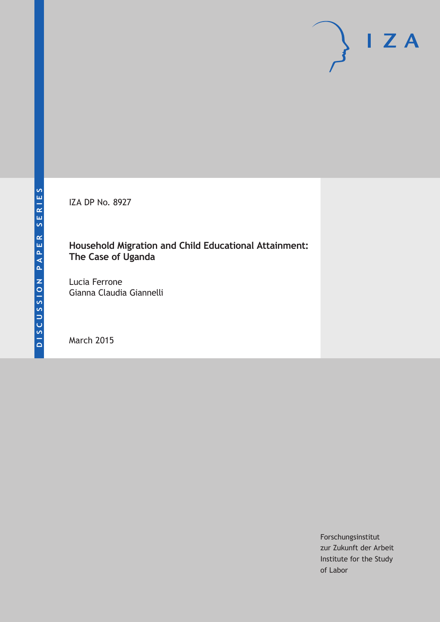IZA DP No. 8927

### **Household Migration and Child Educational Attainment: The Case of Uganda**

Lucia Ferrone Gianna Claudia Giannelli

March 2015

Forschungsinstitut zur Zukunft der Arbeit Institute for the Study of Labor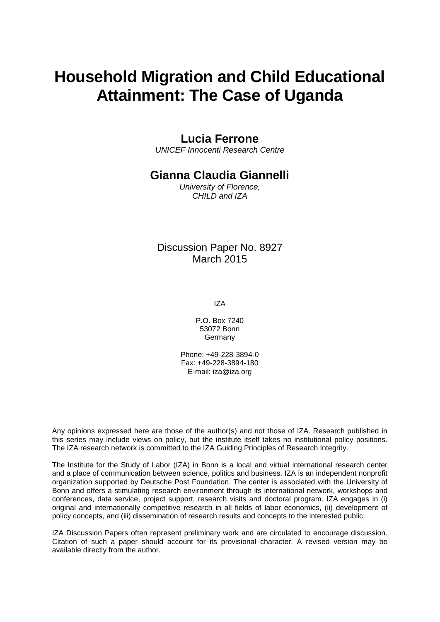# **Household Migration and Child Educational Attainment: The Case of Uganda**

### **Lucia Ferrone**

*UNICEF Innocenti Research Centre*

### **Gianna Claudia Giannelli**

*University of Florence, CHILD and IZA*

Discussion Paper No. 8927 March 2015

IZA

P.O. Box 7240 53072 Bonn Germany

Phone: +49-228-3894-0 Fax: +49-228-3894-180 E-mail: iza@iza.org

Any opinions expressed here are those of the author(s) and not those of IZA. Research published in this series may include views on policy, but the institute itself takes no institutional policy positions. The IZA research network is committed to the IZA Guiding Principles of Research Integrity.

The Institute for the Study of Labor (IZA) in Bonn is a local and virtual international research center and a place of communication between science, politics and business. IZA is an independent nonprofit organization supported by Deutsche Post Foundation. The center is associated with the University of Bonn and offers a stimulating research environment through its international network, workshops and conferences, data service, project support, research visits and doctoral program. IZA engages in (i) original and internationally competitive research in all fields of labor economics, (ii) development of policy concepts, and (iii) dissemination of research results and concepts to the interested public.

IZA Discussion Papers often represent preliminary work and are circulated to encourage discussion. Citation of such a paper should account for its provisional character. A revised version may be available directly from the author.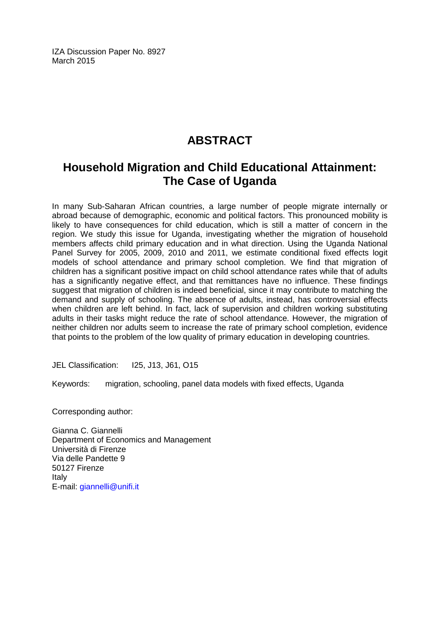IZA Discussion Paper No. 8927 March 2015

# **ABSTRACT**

# **Household Migration and Child Educational Attainment: The Case of Uganda**

In many Sub-Saharan African countries, a large number of people migrate internally or abroad because of demographic, economic and political factors. This pronounced mobility is likely to have consequences for child education, which is still a matter of concern in the region. We study this issue for Uganda, investigating whether the migration of household members affects child primary education and in what direction. Using the Uganda National Panel Survey for 2005, 2009, 2010 and 2011, we estimate conditional fixed effects logit models of school attendance and primary school completion. We find that migration of children has a significant positive impact on child school attendance rates while that of adults has a significantly negative effect, and that remittances have no influence. These findings suggest that migration of children is indeed beneficial, since it may contribute to matching the demand and supply of schooling. The absence of adults, instead, has controversial effects when children are left behind. In fact, lack of supervision and children working substituting adults in their tasks might reduce the rate of school attendance. However, the migration of neither children nor adults seem to increase the rate of primary school completion, evidence that points to the problem of the low quality of primary education in developing countries.

JEL Classification: I25, J13, J61, O15

Keywords: migration, schooling, panel data models with fixed effects, Uganda

Corresponding author:

Gianna C. Giannelli Department of Economics and Management Università di Firenze Via delle Pandette 9 50127 Firenze Italy E-mail: [giannelli@unifi.it](mailto:giannelli@unifi.it)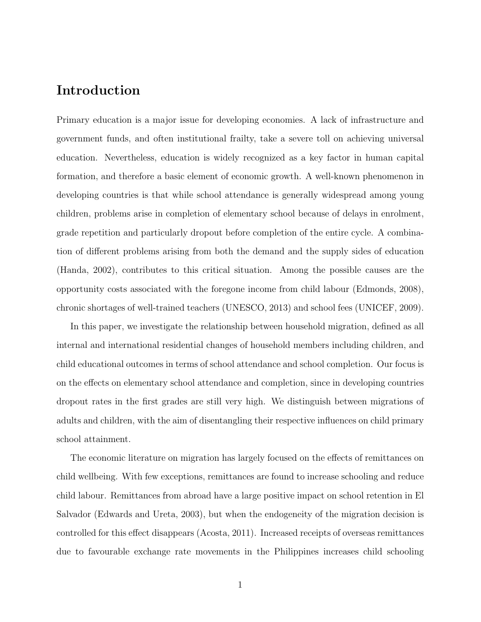# Introduction

Primary education is a major issue for developing economies. A lack of infrastructure and government funds, and often institutional frailty, take a severe toll on achieving universal education. Nevertheless, education is widely recognized as a key factor in human capital formation, and therefore a basic element of economic growth. A well-known phenomenon in developing countries is that while school attendance is generally widespread among young children, problems arise in completion of elementary school because of delays in enrolment, grade repetition and particularly dropout before completion of the entire cycle. A combination of different problems arising from both the demand and the supply sides of education (Handa, 2002), contributes to this critical situation. Among the possible causes are the opportunity costs associated with the foregone income from child labour (Edmonds, 2008), chronic shortages of well-trained teachers (UNESCO, 2013) and school fees (UNICEF, 2009).

In this paper, we investigate the relationship between household migration, defined as all internal and international residential changes of household members including children, and child educational outcomes in terms of school attendance and school completion. Our focus is on the effects on elementary school attendance and completion, since in developing countries dropout rates in the first grades are still very high. We distinguish between migrations of adults and children, with the aim of disentangling their respective influences on child primary school attainment.

The economic literature on migration has largely focused on the effects of remittances on child wellbeing. With few exceptions, remittances are found to increase schooling and reduce child labour. Remittances from abroad have a large positive impact on school retention in El Salvador (Edwards and Ureta, 2003), but when the endogeneity of the migration decision is controlled for this effect disappears (Acosta, 2011). Increased receipts of overseas remittances due to favourable exchange rate movements in the Philippines increases child schooling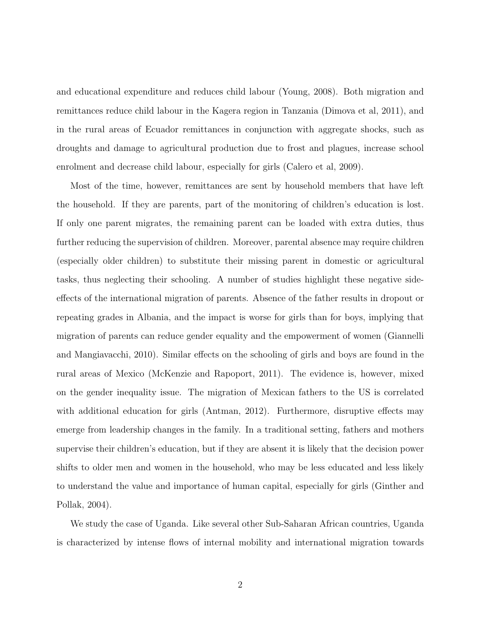and educational expenditure and reduces child labour (Young, 2008). Both migration and remittances reduce child labour in the Kagera region in Tanzania (Dimova et al, 2011), and in the rural areas of Ecuador remittances in conjunction with aggregate shocks, such as droughts and damage to agricultural production due to frost and plagues, increase school enrolment and decrease child labour, especially for girls (Calero et al, 2009).

Most of the time, however, remittances are sent by household members that have left the household. If they are parents, part of the monitoring of children's education is lost. If only one parent migrates, the remaining parent can be loaded with extra duties, thus further reducing the supervision of children. Moreover, parental absence may require children (especially older children) to substitute their missing parent in domestic or agricultural tasks, thus neglecting their schooling. A number of studies highlight these negative sideeffects of the international migration of parents. Absence of the father results in dropout or repeating grades in Albania, and the impact is worse for girls than for boys, implying that migration of parents can reduce gender equality and the empowerment of women (Giannelli and Mangiavacchi, 2010). Similar effects on the schooling of girls and boys are found in the rural areas of Mexico (McKenzie and Rapoport, 2011). The evidence is, however, mixed on the gender inequality issue. The migration of Mexican fathers to the US is correlated with additional education for girls (Antman, 2012). Furthermore, disruptive effects may emerge from leadership changes in the family. In a traditional setting, fathers and mothers supervise their children's education, but if they are absent it is likely that the decision power shifts to older men and women in the household, who may be less educated and less likely to understand the value and importance of human capital, especially for girls (Ginther and Pollak, 2004).

We study the case of Uganda. Like several other Sub-Saharan African countries, Uganda is characterized by intense flows of internal mobility and international migration towards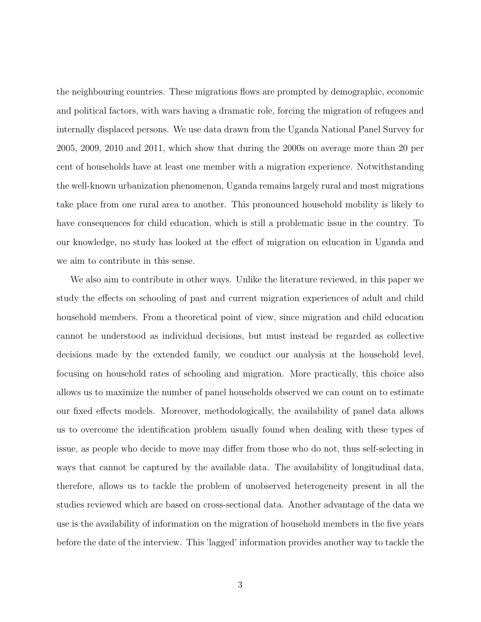the neighbouring countries. These migrations flows are prompted by demographic, economic and political factors, with wars having a dramatic role, forcing the migration of refugees and internally displaced persons. We use data drawn from the Uganda National Panel Survey for 2005, 2009, 2010 and 2011, which show that during the 2000s on average more than 20 per cent of households have at least one member with a migration experience. Notwithstanding the well-known urbanization phenomenon, Uganda remains largely rural and most migrations take place from one rural area to another. This pronounced household mobility is likely to have consequences for child education, which is still a problematic issue in the country. To our knowledge, no study has looked at the effect of migration on education in Uganda and we aim to contribute in this sense.

We also aim to contribute in other ways. Unlike the literature reviewed, in this paper we study the effects on schooling of past and current migration experiences of adult and child household members. From a theoretical point of view, since migration and child education cannot be understood as individual decisions, but must instead be regarded as collective decisions made by the extended family, we conduct our analysis at the household level, focusing on household rates of schooling and migration. More practically, this choice also allows us to maximize the number of panel households observed we can count on to estimate our fixed effects models. Moreover, methodologically, the availability of panel data allows us to overcome the identification problem usually found when dealing with these types of issue, as people who decide to move may differ from those who do not, thus self-selecting in ways that cannot be captured by the available data. The availability of longitudinal data, therefore, allows us to tackle the problem of unobserved heterogeneity present in all the studies reviewed which are based on cross-sectional data. Another advantage of the data we use is the availability of information on the migration of household members in the five years before the date of the interview. This 'lagged' information provides another way to tackle the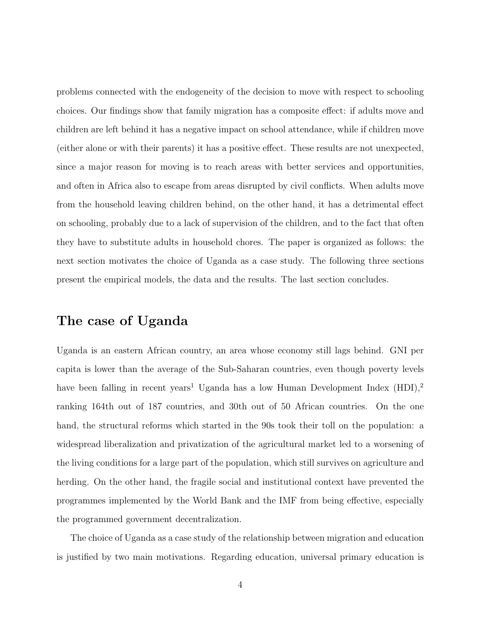problems connected with the endogeneity of the decision to move with respect to schooling choices. Our findings show that family migration has a composite effect: if adults move and children are left behind it has a negative impact on school attendance, while if children move (either alone or with their parents) it has a positive effect. These results are not unexpected, since a major reason for moving is to reach areas with better services and opportunities, and often in Africa also to escape from areas disrupted by civil conflicts. When adults move from the household leaving children behind, on the other hand, it has a detrimental effect on schooling, probably due to a lack of supervision of the children, and to the fact that often they have to substitute adults in household chores. The paper is organized as follows: the next section motivates the choice of Uganda as a case study. The following three sections present the empirical models, the data and the results. The last section concludes.

# The case of Uganda

Uganda is an eastern African country, an area whose economy still lags behind. GNI per capita is lower than the average of the Sub-Saharan countries, even though poverty levels have been falling in recent years<sup>1</sup> Uganda has a low Human Development Index  $(HDI)$ ,<sup>2</sup> ranking 164th out of 187 countries, and 30th out of 50 African countries. On the one hand, the structural reforms which started in the 90s took their toll on the population: a widespread liberalization and privatization of the agricultural market led to a worsening of the living conditions for a large part of the population, which still survives on agriculture and herding. On the other hand, the fragile social and institutional context have prevented the programmes implemented by the World Bank and the IMF from being effective, especially the programmed government decentralization.

The choice of Uganda as a case study of the relationship between migration and education is justified by two main motivations. Regarding education, universal primary education is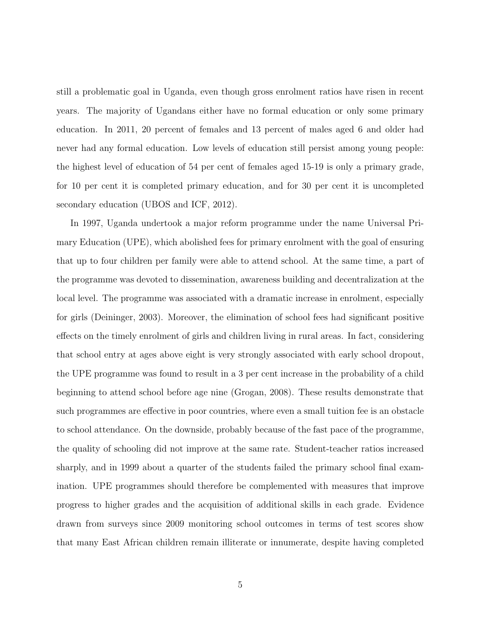still a problematic goal in Uganda, even though gross enrolment ratios have risen in recent years. The majority of Ugandans either have no formal education or only some primary education. In 2011, 20 percent of females and 13 percent of males aged 6 and older had never had any formal education. Low levels of education still persist among young people: the highest level of education of 54 per cent of females aged 15-19 is only a primary grade, for 10 per cent it is completed primary education, and for 30 per cent it is uncompleted secondary education (UBOS and ICF, 2012).

In 1997, Uganda undertook a major reform programme under the name Universal Primary Education (UPE), which abolished fees for primary enrolment with the goal of ensuring that up to four children per family were able to attend school. At the same time, a part of the programme was devoted to dissemination, awareness building and decentralization at the local level. The programme was associated with a dramatic increase in enrolment, especially for girls (Deininger, 2003). Moreover, the elimination of school fees had significant positive effects on the timely enrolment of girls and children living in rural areas. In fact, considering that school entry at ages above eight is very strongly associated with early school dropout, the UPE programme was found to result in a 3 per cent increase in the probability of a child beginning to attend school before age nine (Grogan, 2008). These results demonstrate that such programmes are effective in poor countries, where even a small tuition fee is an obstacle to school attendance. On the downside, probably because of the fast pace of the programme, the quality of schooling did not improve at the same rate. Student-teacher ratios increased sharply, and in 1999 about a quarter of the students failed the primary school final examination. UPE programmes should therefore be complemented with measures that improve progress to higher grades and the acquisition of additional skills in each grade. Evidence drawn from surveys since 2009 monitoring school outcomes in terms of test scores show that many East African children remain illiterate or innumerate, despite having completed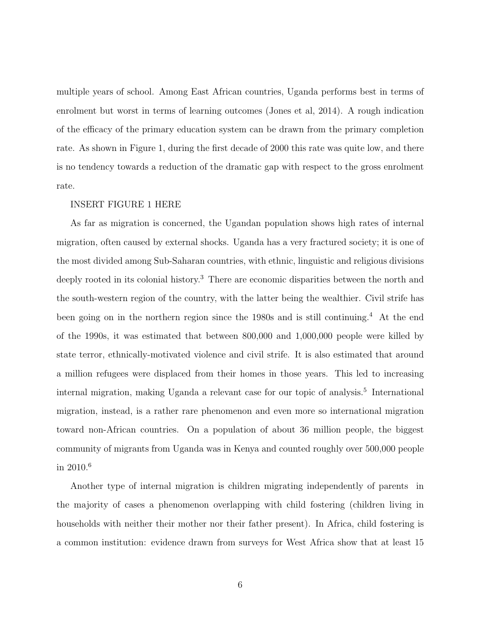multiple years of school. Among East African countries, Uganda performs best in terms of enrolment but worst in terms of learning outcomes (Jones et al, 2014). A rough indication of the efficacy of the primary education system can be drawn from the primary completion rate. As shown in Figure 1, during the first decade of 2000 this rate was quite low, and there is no tendency towards a reduction of the dramatic gap with respect to the gross enrolment rate.

#### INSERT FIGURE 1 HERE

As far as migration is concerned, the Ugandan population shows high rates of internal migration, often caused by external shocks. Uganda has a very fractured society; it is one of the most divided among Sub-Saharan countries, with ethnic, linguistic and religious divisions deeply rooted in its colonial history.<sup>3</sup> There are economic disparities between the north and the south-western region of the country, with the latter being the wealthier. Civil strife has been going on in the northern region since the 1980s and is still continuing.<sup>4</sup> At the end of the 1990s, it was estimated that between 800,000 and 1,000,000 people were killed by state terror, ethnically-motivated violence and civil strife. It is also estimated that around a million refugees were displaced from their homes in those years. This led to increasing internal migration, making Uganda a relevant case for our topic of analysis.<sup>5</sup> International migration, instead, is a rather rare phenomenon and even more so international migration toward non-African countries. On a population of about 36 million people, the biggest community of migrants from Uganda was in Kenya and counted roughly over 500,000 people in 2010.<sup>6</sup>

Another type of internal migration is children migrating independently of parents in the majority of cases a phenomenon overlapping with child fostering (children living in households with neither their mother nor their father present). In Africa, child fostering is a common institution: evidence drawn from surveys for West Africa show that at least 15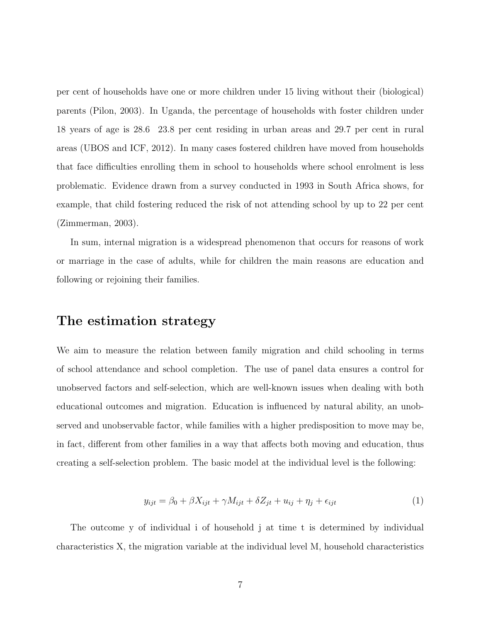per cent of households have one or more children under 15 living without their (biological) parents (Pilon, 2003). In Uganda, the percentage of households with foster children under 18 years of age is 28.6 23.8 per cent residing in urban areas and 29.7 per cent in rural areas (UBOS and ICF, 2012). In many cases fostered children have moved from households that face difficulties enrolling them in school to households where school enrolment is less problematic. Evidence drawn from a survey conducted in 1993 in South Africa shows, for example, that child fostering reduced the risk of not attending school by up to 22 per cent (Zimmerman, 2003).

In sum, internal migration is a widespread phenomenon that occurs for reasons of work or marriage in the case of adults, while for children the main reasons are education and following or rejoining their families.

### The estimation strategy

We aim to measure the relation between family migration and child schooling in terms of school attendance and school completion. The use of panel data ensures a control for unobserved factors and self-selection, which are well-known issues when dealing with both educational outcomes and migration. Education is influenced by natural ability, an unobserved and unobservable factor, while families with a higher predisposition to move may be, in fact, different from other families in a way that affects both moving and education, thus creating a self-selection problem. The basic model at the individual level is the following:

$$
y_{ijt} = \beta_0 + \beta X_{ijt} + \gamma M_{ijt} + \delta Z_{jt} + u_{ij} + \eta_j + \epsilon_{ijt}
$$
\n<sup>(1)</sup>

The outcome y of individual i of household j at time t is determined by individual characteristics X, the migration variable at the individual level M, household characteristics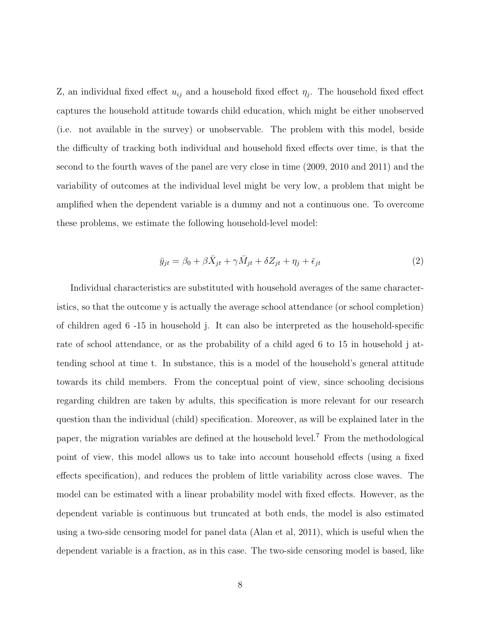Z, an individual fixed effect  $u_{ij}$  and a household fixed effect  $\eta_j$ . The household fixed effect captures the household attitude towards child education, which might be either unobserved (i.e. not available in the survey) or unobservable. The problem with this model, beside the difficulty of tracking both individual and household fixed effects over time, is that the second to the fourth waves of the panel are very close in time (2009, 2010 and 2011) and the variability of outcomes at the individual level might be very low, a problem that might be amplified when the dependent variable is a dummy and not a continuous one. To overcome these problems, we estimate the following household-level model:

$$
\bar{y}_{jt} = \beta_0 + \beta \bar{X}_{jt} + \gamma \bar{M}_{jt} + \delta Z_{jt} + \eta_j + \bar{\epsilon}_{jt}
$$
\n(2)

Individual characteristics are substituted with household averages of the same characteristics, so that the outcome y is actually the average school attendance (or school completion) of children aged 6 -15 in household j. It can also be interpreted as the household-specific rate of school attendance, or as the probability of a child aged 6 to 15 in household j attending school at time t. In substance, this is a model of the household's general attitude towards its child members. From the conceptual point of view, since schooling decisions regarding children are taken by adults, this specification is more relevant for our research question than the individual (child) specification. Moreover, as will be explained later in the paper, the migration variables are defined at the household level.<sup>7</sup> From the methodological point of view, this model allows us to take into account household effects (using a fixed effects specification), and reduces the problem of little variability across close waves. The model can be estimated with a linear probability model with fixed effects. However, as the dependent variable is continuous but truncated at both ends, the model is also estimated using a two-side censoring model for panel data (Alan et al, 2011), which is useful when the dependent variable is a fraction, as in this case. The two-side censoring model is based, like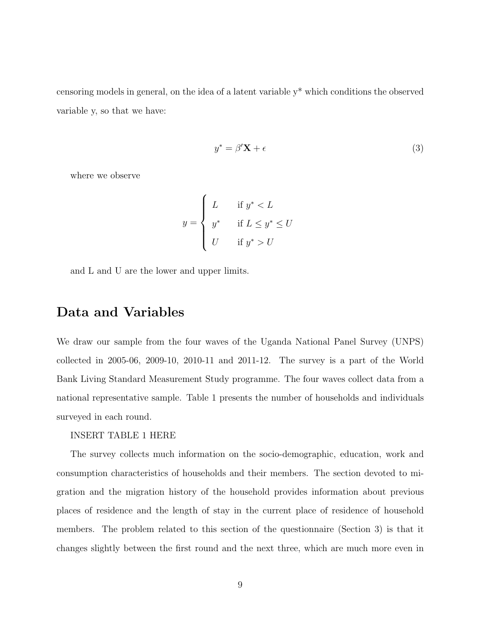censoring models in general, on the idea of a latent variable y\* which conditions the observed variable y, so that we have:

$$
y^* = \beta' \mathbf{X} + \epsilon \tag{3}
$$

where we observe

$$
y = \begin{cases} L & \text{if } y^* < L \\ y^* & \text{if } L \le y^* \le U \\ U & \text{if } y^* > U \end{cases}
$$

and L and U are the lower and upper limits.

### Data and Variables

We draw our sample from the four waves of the Uganda National Panel Survey (UNPS) collected in 2005-06, 2009-10, 2010-11 and 2011-12. The survey is a part of the World Bank Living Standard Measurement Study programme. The four waves collect data from a national representative sample. Table 1 presents the number of households and individuals surveyed in each round.

INSERT TABLE 1 HERE

The survey collects much information on the socio-demographic, education, work and consumption characteristics of households and their members. The section devoted to migration and the migration history of the household provides information about previous places of residence and the length of stay in the current place of residence of household members. The problem related to this section of the questionnaire (Section 3) is that it changes slightly between the first round and the next three, which are much more even in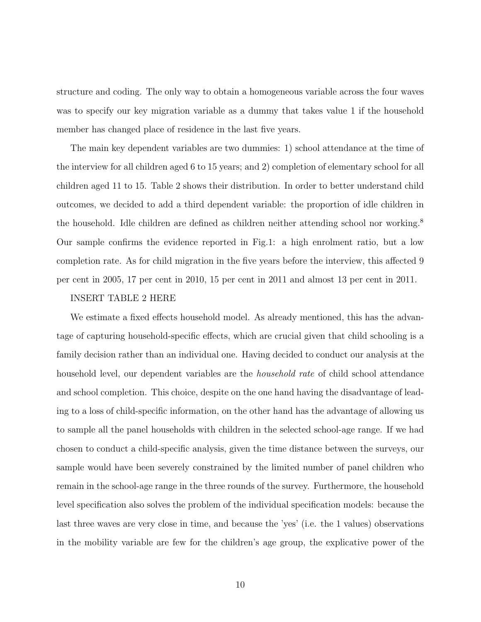structure and coding. The only way to obtain a homogeneous variable across the four waves was to specify our key migration variable as a dummy that takes value 1 if the household member has changed place of residence in the last five years.

The main key dependent variables are two dummies: 1) school attendance at the time of the interview for all children aged 6 to 15 years; and 2) completion of elementary school for all children aged 11 to 15. Table 2 shows their distribution. In order to better understand child outcomes, we decided to add a third dependent variable: the proportion of idle children in the household. Idle children are defined as children neither attending school nor working.<sup>8</sup> Our sample confirms the evidence reported in Fig.1: a high enrolment ratio, but a low completion rate. As for child migration in the five years before the interview, this affected 9 per cent in 2005, 17 per cent in 2010, 15 per cent in 2011 and almost 13 per cent in 2011.

#### INSERT TABLE 2 HERE

We estimate a fixed effects household model. As already mentioned, this has the advantage of capturing household-specific effects, which are crucial given that child schooling is a family decision rather than an individual one. Having decided to conduct our analysis at the household level, our dependent variables are the *household rate* of child school attendance and school completion. This choice, despite on the one hand having the disadvantage of leading to a loss of child-specific information, on the other hand has the advantage of allowing us to sample all the panel households with children in the selected school-age range. If we had chosen to conduct a child-specific analysis, given the time distance between the surveys, our sample would have been severely constrained by the limited number of panel children who remain in the school-age range in the three rounds of the survey. Furthermore, the household level specification also solves the problem of the individual specification models: because the last three waves are very close in time, and because the 'yes' (i.e. the 1 values) observations in the mobility variable are few for the children's age group, the explicative power of the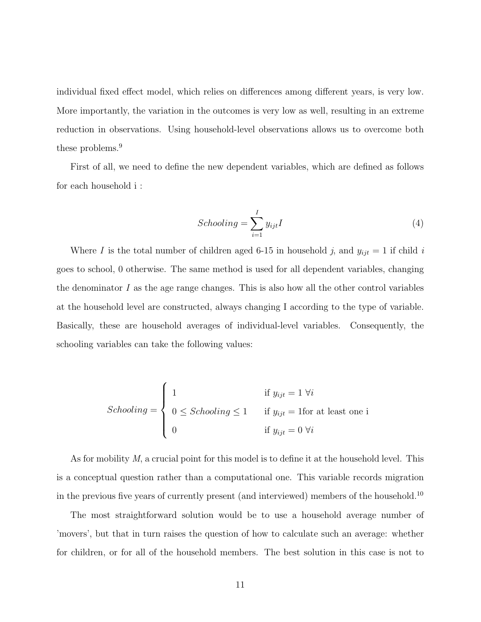individual fixed effect model, which relies on differences among different years, is very low. More importantly, the variation in the outcomes is very low as well, resulting in an extreme reduction in observations. Using household-level observations allows us to overcome both these problems.<sup>9</sup>

First of all, we need to define the new dependent variables, which are defined as follows for each household i :

$$
Schooling = \sum_{i=1}^{I} y_{ijt} I
$$
\n<sup>(4)</sup>

Where I is the total number of children aged 6-15 in household j, and  $y_{ijt} = 1$  if child i goes to school, 0 otherwise. The same method is used for all dependent variables, changing the denominator  $I$  as the age range changes. This is also how all the other control variables at the household level are constructed, always changing I according to the type of variable. Basically, these are household averages of individual-level variables. Consequently, the schooling variables can take the following values:

$$
Schooling = \begin{cases} 1 & \text{if } y_{ijt} = 1 \; \forall i \\ 0 \leq Schooling \leq 1 & \text{if } y_{ijt} = 1 \text{for at least one i} \\ 0 & \text{if } y_{ijt} = 0 \; \forall i \end{cases}
$$

As for mobility M, a crucial point for this model is to define it at the household level. This is a conceptual question rather than a computational one. This variable records migration in the previous five years of currently present (and interviewed) members of the household.<sup>10</sup>

The most straightforward solution would be to use a household average number of 'movers', but that in turn raises the question of how to calculate such an average: whether for children, or for all of the household members. The best solution in this case is not to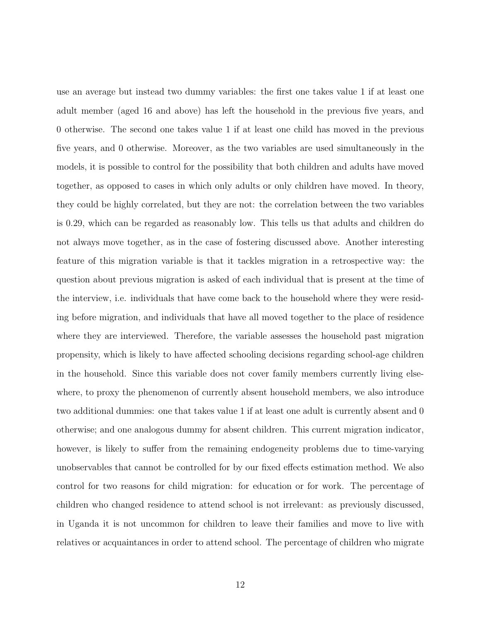use an average but instead two dummy variables: the first one takes value 1 if at least one adult member (aged 16 and above) has left the household in the previous five years, and 0 otherwise. The second one takes value 1 if at least one child has moved in the previous five years, and 0 otherwise. Moreover, as the two variables are used simultaneously in the models, it is possible to control for the possibility that both children and adults have moved together, as opposed to cases in which only adults or only children have moved. In theory, they could be highly correlated, but they are not: the correlation between the two variables is 0.29, which can be regarded as reasonably low. This tells us that adults and children do not always move together, as in the case of fostering discussed above. Another interesting feature of this migration variable is that it tackles migration in a retrospective way: the question about previous migration is asked of each individual that is present at the time of the interview, i.e. individuals that have come back to the household where they were residing before migration, and individuals that have all moved together to the place of residence where they are interviewed. Therefore, the variable assesses the household past migration propensity, which is likely to have affected schooling decisions regarding school-age children in the household. Since this variable does not cover family members currently living elsewhere, to proxy the phenomenon of currently absent household members, we also introduce two additional dummies: one that takes value 1 if at least one adult is currently absent and 0 otherwise; and one analogous dummy for absent children. This current migration indicator, however, is likely to suffer from the remaining endogeneity problems due to time-varying unobservables that cannot be controlled for by our fixed effects estimation method. We also control for two reasons for child migration: for education or for work. The percentage of children who changed residence to attend school is not irrelevant: as previously discussed, in Uganda it is not uncommon for children to leave their families and move to live with relatives or acquaintances in order to attend school. The percentage of children who migrate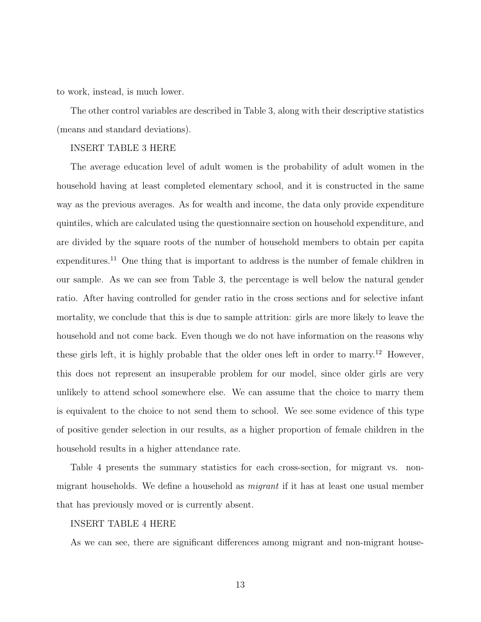to work, instead, is much lower.

The other control variables are described in Table 3, along with their descriptive statistics (means and standard deviations).

#### INSERT TABLE 3 HERE

The average education level of adult women is the probability of adult women in the household having at least completed elementary school, and it is constructed in the same way as the previous averages. As for wealth and income, the data only provide expenditure quintiles, which are calculated using the questionnaire section on household expenditure, and are divided by the square roots of the number of household members to obtain per capita expenditures.<sup>11</sup> One thing that is important to address is the number of female children in our sample. As we can see from Table 3, the percentage is well below the natural gender ratio. After having controlled for gender ratio in the cross sections and for selective infant mortality, we conclude that this is due to sample attrition: girls are more likely to leave the household and not come back. Even though we do not have information on the reasons why these girls left, it is highly probable that the older ones left in order to marry.<sup>12</sup> However, this does not represent an insuperable problem for our model, since older girls are very unlikely to attend school somewhere else. We can assume that the choice to marry them is equivalent to the choice to not send them to school. We see some evidence of this type of positive gender selection in our results, as a higher proportion of female children in the household results in a higher attendance rate.

Table 4 presents the summary statistics for each cross-section, for migrant vs. nonmigrant households. We define a household as *migrant* if it has at least one usual member that has previously moved or is currently absent.

#### INSERT TABLE 4 HERE

As we can see, there are significant differences among migrant and non-migrant house-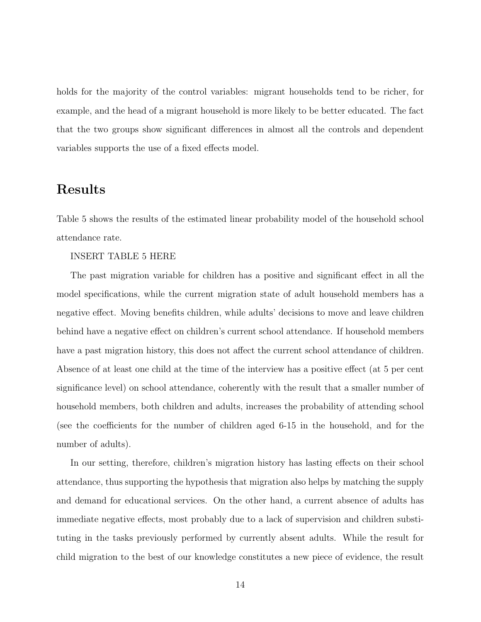holds for the majority of the control variables: migrant households tend to be richer, for example, and the head of a migrant household is more likely to be better educated. The fact that the two groups show significant differences in almost all the controls and dependent variables supports the use of a fixed effects model.

### Results

Table 5 shows the results of the estimated linear probability model of the household school attendance rate.

INSERT TABLE 5 HERE

The past migration variable for children has a positive and significant effect in all the model specifications, while the current migration state of adult household members has a negative effect. Moving benefits children, while adults' decisions to move and leave children behind have a negative effect on children's current school attendance. If household members have a past migration history, this does not affect the current school attendance of children. Absence of at least one child at the time of the interview has a positive effect (at 5 per cent significance level) on school attendance, coherently with the result that a smaller number of household members, both children and adults, increases the probability of attending school (see the coefficients for the number of children aged 6-15 in the household, and for the number of adults).

In our setting, therefore, children's migration history has lasting effects on their school attendance, thus supporting the hypothesis that migration also helps by matching the supply and demand for educational services. On the other hand, a current absence of adults has immediate negative effects, most probably due to a lack of supervision and children substituting in the tasks previously performed by currently absent adults. While the result for child migration to the best of our knowledge constitutes a new piece of evidence, the result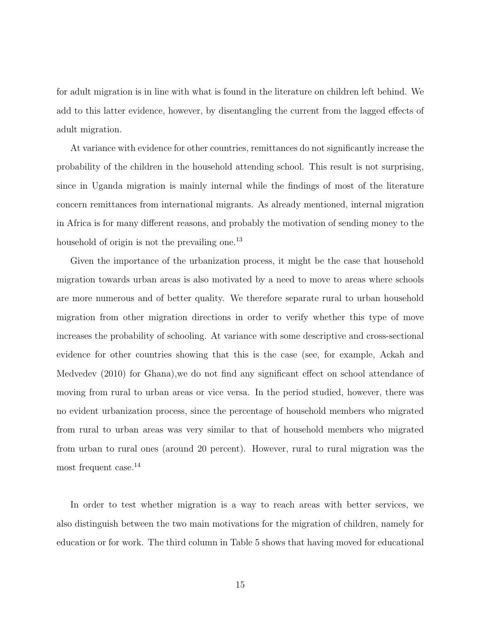for adult migration is in line with what is found in the literature on children left behind. We add to this latter evidence, however, by disentangling the current from the lagged effects of adult migration.

At variance with evidence for other countries, remittances do not significantly increase the probability of the children in the household attending school. This result is not surprising, since in Uganda migration is mainly internal while the findings of most of the literature concern remittances from international migrants. As already mentioned, internal migration in Africa is for many different reasons, and probably the motivation of sending money to the household of origin is not the prevailing one.<sup>13</sup>

Given the importance of the urbanization process, it might be the case that household migration towards urban areas is also motivated by a need to move to areas where schools are more numerous and of better quality. We therefore separate rural to urban household migration from other migration directions in order to verify whether this type of move increases the probability of schooling. At variance with some descriptive and cross-sectional evidence for other countries showing that this is the case (see, for example, Ackah and Medvedev (2010) for Ghana),we do not find any significant effect on school attendance of moving from rural to urban areas or vice versa. In the period studied, however, there was no evident urbanization process, since the percentage of household members who migrated from rural to urban areas was very similar to that of household members who migrated from urban to rural ones (around 20 percent). However, rural to rural migration was the most frequent case.<sup>14</sup>

In order to test whether migration is a way to reach areas with better services, we also distinguish between the two main motivations for the migration of children, namely for education or for work. The third column in Table 5 shows that having moved for educational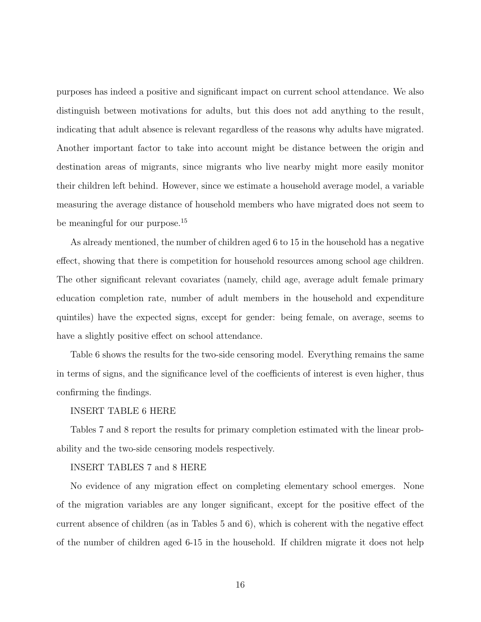purposes has indeed a positive and significant impact on current school attendance. We also distinguish between motivations for adults, but this does not add anything to the result, indicating that adult absence is relevant regardless of the reasons why adults have migrated. Another important factor to take into account might be distance between the origin and destination areas of migrants, since migrants who live nearby might more easily monitor their children left behind. However, since we estimate a household average model, a variable measuring the average distance of household members who have migrated does not seem to be meaningful for our purpose.<sup>15</sup>

As already mentioned, the number of children aged 6 to 15 in the household has a negative effect, showing that there is competition for household resources among school age children. The other significant relevant covariates (namely, child age, average adult female primary education completion rate, number of adult members in the household and expenditure quintiles) have the expected signs, except for gender: being female, on average, seems to have a slightly positive effect on school attendance.

Table 6 shows the results for the two-side censoring model. Everything remains the same in terms of signs, and the significance level of the coefficients of interest is even higher, thus confirming the findings.

#### INSERT TABLE 6 HERE

Tables 7 and 8 report the results for primary completion estimated with the linear probability and the two-side censoring models respectively.

#### INSERT TABLES 7 and 8 HERE

No evidence of any migration effect on completing elementary school emerges. None of the migration variables are any longer significant, except for the positive effect of the current absence of children (as in Tables 5 and 6), which is coherent with the negative effect of the number of children aged 6-15 in the household. If children migrate it does not help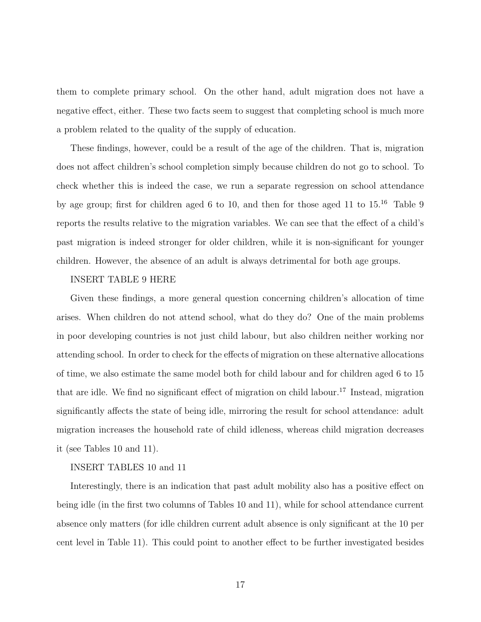them to complete primary school. On the other hand, adult migration does not have a negative effect, either. These two facts seem to suggest that completing school is much more a problem related to the quality of the supply of education.

These findings, however, could be a result of the age of the children. That is, migration does not affect children's school completion simply because children do not go to school. To check whether this is indeed the case, we run a separate regression on school attendance by age group; first for children aged 6 to 10, and then for those aged 11 to  $15^{16}$  Table 9 reports the results relative to the migration variables. We can see that the effect of a child's past migration is indeed stronger for older children, while it is non-significant for younger children. However, the absence of an adult is always detrimental for both age groups.

#### INSERT TABLE 9 HERE

Given these findings, a more general question concerning children's allocation of time arises. When children do not attend school, what do they do? One of the main problems in poor developing countries is not just child labour, but also children neither working nor attending school. In order to check for the effects of migration on these alternative allocations of time, we also estimate the same model both for child labour and for children aged 6 to 15 that are idle. We find no significant effect of migration on child labour.<sup>17</sup> Instead, migration significantly affects the state of being idle, mirroring the result for school attendance: adult migration increases the household rate of child idleness, whereas child migration decreases it (see Tables 10 and 11).

#### INSERT TABLES 10 and 11

Interestingly, there is an indication that past adult mobility also has a positive effect on being idle (in the first two columns of Tables 10 and 11), while for school attendance current absence only matters (for idle children current adult absence is only significant at the 10 per cent level in Table 11). This could point to another effect to be further investigated besides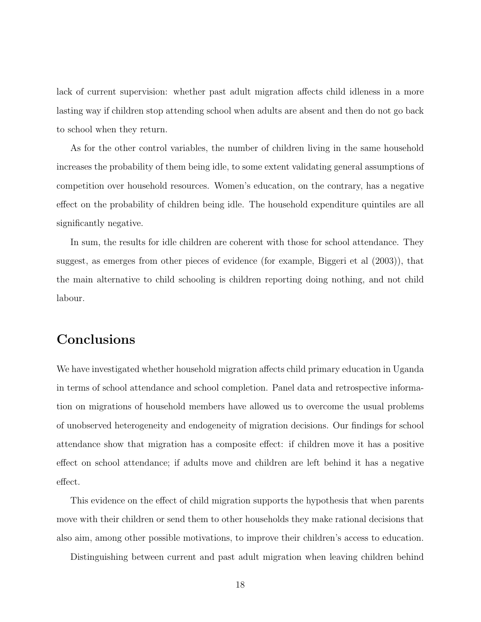lack of current supervision: whether past adult migration affects child idleness in a more lasting way if children stop attending school when adults are absent and then do not go back to school when they return.

As for the other control variables, the number of children living in the same household increases the probability of them being idle, to some extent validating general assumptions of competition over household resources. Women's education, on the contrary, has a negative effect on the probability of children being idle. The household expenditure quintiles are all significantly negative.

In sum, the results for idle children are coherent with those for school attendance. They suggest, as emerges from other pieces of evidence (for example, Biggeri et al (2003)), that the main alternative to child schooling is children reporting doing nothing, and not child labour.

# Conclusions

We have investigated whether household migration affects child primary education in Uganda in terms of school attendance and school completion. Panel data and retrospective information on migrations of household members have allowed us to overcome the usual problems of unobserved heterogeneity and endogeneity of migration decisions. Our findings for school attendance show that migration has a composite effect: if children move it has a positive effect on school attendance; if adults move and children are left behind it has a negative effect.

This evidence on the effect of child migration supports the hypothesis that when parents move with their children or send them to other households they make rational decisions that also aim, among other possible motivations, to improve their children's access to education.

Distinguishing between current and past adult migration when leaving children behind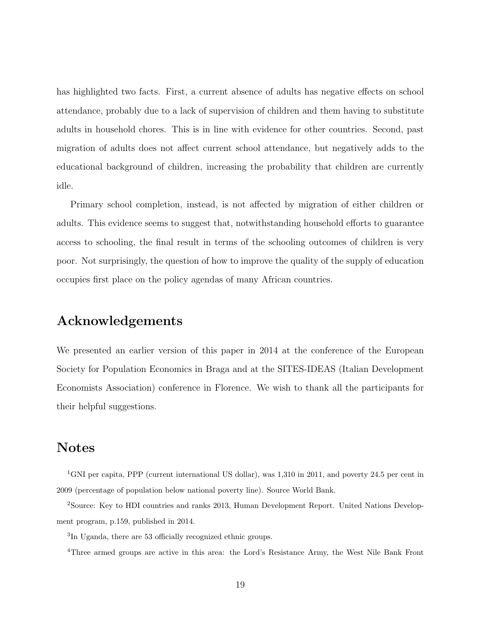has highlighted two facts. First, a current absence of adults has negative effects on school attendance, probably due to a lack of supervision of children and them having to substitute adults in household chores. This is in line with evidence for other countries. Second, past migration of adults does not affect current school attendance, but negatively adds to the educational background of children, increasing the probability that children are currently idle.

Primary school completion, instead, is not affected by migration of either children or adults. This evidence seems to suggest that, notwithstanding household efforts to guarantee access to schooling, the final result in terms of the schooling outcomes of children is very poor. Not surprisingly, the question of how to improve the quality of the supply of education occupies first place on the policy agendas of many African countries.

# Acknowledgements

We presented an earlier version of this paper in 2014 at the conference of the European Society for Population Economics in Braga and at the SITES-IDEAS (Italian Development Economists Association) conference in Florence. We wish to thank all the participants for their helpful suggestions.

### Notes

<sup>1</sup>GNI per capita, PPP (current international US dollar), was 1,310 in 2011, and poverty 24.5 per cent in 2009 (percentage of population below national poverty line). Source World Bank.

<sup>2</sup>Source: Key to HDI countries and ranks 2013, Human Development Report. United Nations Development program, p.159, published in 2014.

3 In Uganda, there are 53 officially recognized ethnic groups.

<sup>4</sup>Three armed groups are active in this area: the Lord's Resistance Army, the West Nile Bank Front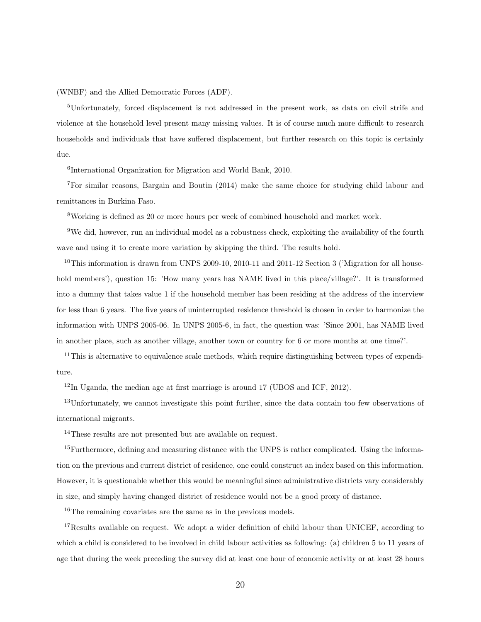(WNBF) and the Allied Democratic Forces (ADF).

<sup>5</sup>Unfortunately, forced displacement is not addressed in the present work, as data on civil strife and violence at the household level present many missing values. It is of course much more difficult to research households and individuals that have suffered displacement, but further research on this topic is certainly due.

6 International Organization for Migration and World Bank, 2010.

<sup>7</sup>For similar reasons, Bargain and Boutin (2014) make the same choice for studying child labour and remittances in Burkina Faso.

<sup>8</sup>Working is defined as 20 or more hours per week of combined household and market work.

<sup>9</sup>We did, however, run an individual model as a robustness check, exploiting the availability of the fourth wave and using it to create more variation by skipping the third. The results hold.

<sup>10</sup>This information is drawn from UNPS 2009-10, 2010-11 and 2011-12 Section 3 ('Migration for all household members'), question 15: 'How many years has NAME lived in this place/village?'. It is transformed into a dummy that takes value 1 if the household member has been residing at the address of the interview for less than 6 years. The five years of uninterrupted residence threshold is chosen in order to harmonize the information with UNPS 2005-06. In UNPS 2005-6, in fact, the question was: 'Since 2001, has NAME lived in another place, such as another village, another town or country for 6 or more months at one time?'.

 $11$ This is alternative to equivalence scale methods, which require distinguishing between types of expenditure.

 $12$ In Uganda, the median age at first marriage is around 17 (UBOS and ICF, 2012).

<sup>13</sup>Unfortunately, we cannot investigate this point further, since the data contain too few observations of international migrants.

<sup>14</sup>These results are not presented but are available on request.

<sup>15</sup>Furthermore, defining and measuring distance with the UNPS is rather complicated. Using the information on the previous and current district of residence, one could construct an index based on this information. However, it is questionable whether this would be meaningful since administrative districts vary considerably in size, and simply having changed district of residence would not be a good proxy of distance.

<sup>16</sup>The remaining covariates are the same as in the previous models.

 $17$ Results available on request. We adopt a wider definition of child labour than UNICEF, according to which a child is considered to be involved in child labour activities as following: (a) children 5 to 11 years of age that during the week preceding the survey did at least one hour of economic activity or at least 28 hours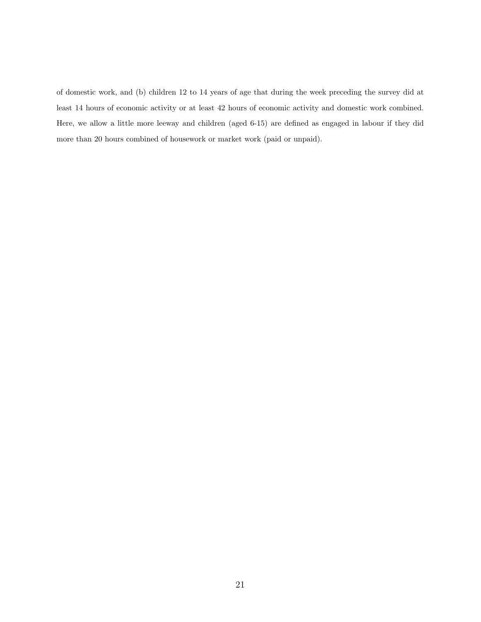of domestic work, and (b) children 12 to 14 years of age that during the week preceding the survey did at least 14 hours of economic activity or at least 42 hours of economic activity and domestic work combined. Here, we allow a little more leeway and children (aged 6-15) are defined as engaged in labour if they did more than 20 hours combined of housework or market work (paid or unpaid).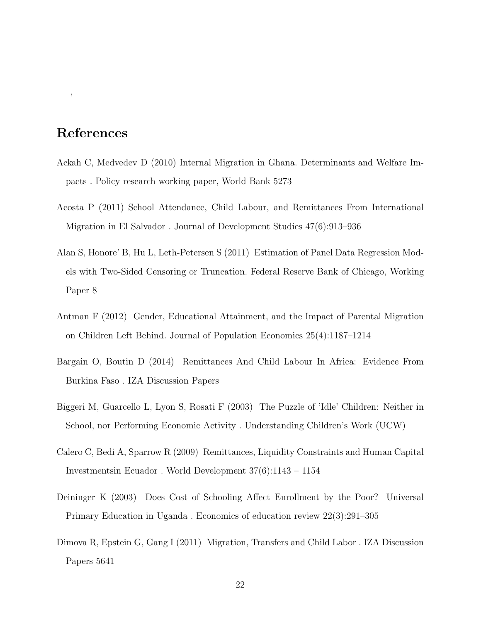# References

,

- Ackah C, Medvedev D (2010) Internal Migration in Ghana. Determinants and Welfare Impacts . Policy research working paper, World Bank 5273
- Acosta P (2011) School Attendance, Child Labour, and Remittances From International Migration in El Salvador . Journal of Development Studies 47(6):913–936
- Alan S, Honore' B, Hu L, Leth-Petersen S (2011) Estimation of Panel Data Regression Models with Two-Sided Censoring or Truncation. Federal Reserve Bank of Chicago, Working Paper 8
- Antman F (2012) Gender, Educational Attainment, and the Impact of Parental Migration on Children Left Behind. Journal of Population Economics 25(4):1187–1214
- Bargain O, Boutin D (2014) Remittances And Child Labour In Africa: Evidence From Burkina Faso . IZA Discussion Papers
- Biggeri M, Guarcello L, Lyon S, Rosati F (2003) The Puzzle of 'Idle' Children: Neither in School, nor Performing Economic Activity . Understanding Children's Work (UCW)
- Calero C, Bedi A, Sparrow R (2009) Remittances, Liquidity Constraints and Human Capital Investmentsin Ecuador . World Development 37(6):1143 – 1154
- Deininger K (2003) Does Cost of Schooling Affect Enrollment by the Poor? Universal Primary Education in Uganda . Economics of education review 22(3):291–305
- Dimova R, Epstein G, Gang I (2011) Migration, Transfers and Child Labor . IZA Discussion Papers 5641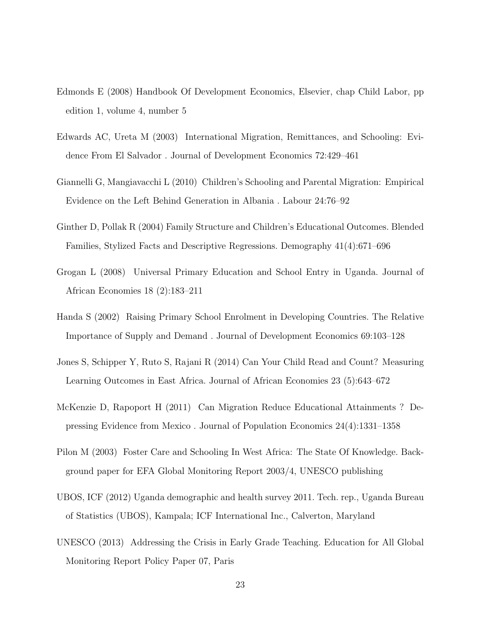- Edmonds E (2008) Handbook Of Development Economics, Elsevier, chap Child Labor, pp edition 1, volume 4, number 5
- Edwards AC, Ureta M (2003) International Migration, Remittances, and Schooling: Evidence From El Salvador . Journal of Development Economics 72:429–461
- Giannelli G, Mangiavacchi L (2010) Children's Schooling and Parental Migration: Empirical Evidence on the Left Behind Generation in Albania . Labour 24:76–92
- Ginther D, Pollak R (2004) Family Structure and Children's Educational Outcomes. Blended Families, Stylized Facts and Descriptive Regressions. Demography 41(4):671–696
- Grogan L (2008) Universal Primary Education and School Entry in Uganda. Journal of African Economies 18 (2):183–211
- Handa S (2002) Raising Primary School Enrolment in Developing Countries. The Relative Importance of Supply and Demand . Journal of Development Economics 69:103–128
- Jones S, Schipper Y, Ruto S, Rajani R (2014) Can Your Child Read and Count? Measuring Learning Outcomes in East Africa. Journal of African Economies 23 (5):643–672
- McKenzie D, Rapoport H (2011) Can Migration Reduce Educational Attainments ? Depressing Evidence from Mexico . Journal of Population Economics 24(4):1331–1358
- Pilon M (2003) Foster Care and Schooling In West Africa: The State Of Knowledge. Background paper for EFA Global Monitoring Report 2003/4, UNESCO publishing
- UBOS, ICF (2012) Uganda demographic and health survey 2011. Tech. rep., Uganda Bureau of Statistics (UBOS), Kampala; ICF International Inc., Calverton, Maryland
- UNESCO (2013) Addressing the Crisis in Early Grade Teaching. Education for All Global Monitoring Report Policy Paper 07, Paris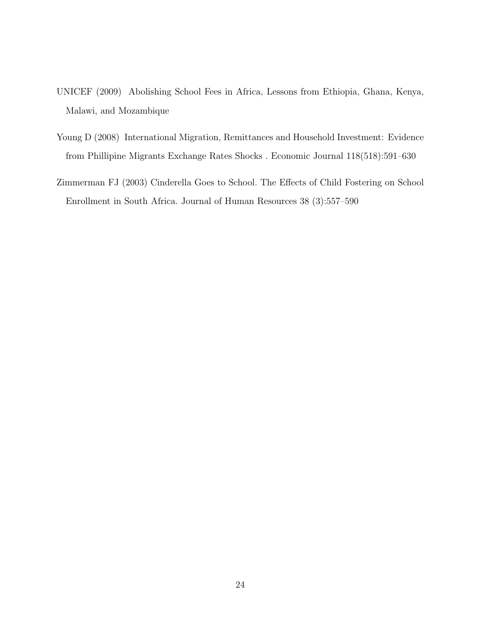- UNICEF (2009) Abolishing School Fees in Africa, Lessons from Ethiopia, Ghana, Kenya, Malawi, and Mozambique
- Young D (2008) International Migration, Remittances and Household Investment: Evidence from Phillipine Migrants Exchange Rates Shocks . Economic Journal 118(518):591–630
- Zimmerman FJ (2003) Cinderella Goes to School. The Effects of Child Fostering on School Enrollment in South Africa. Journal of Human Resources 38 (3):557–590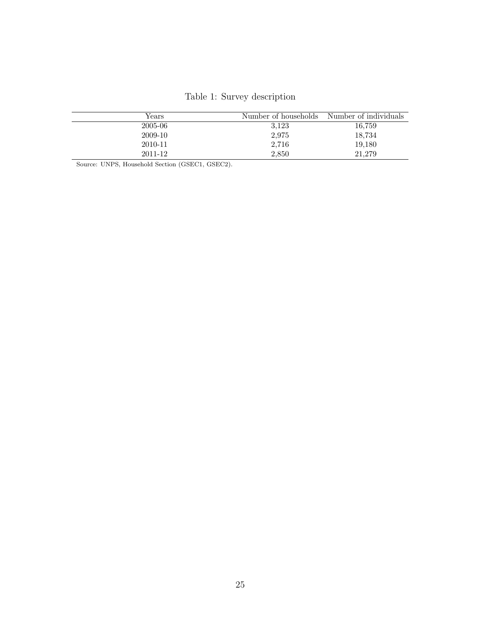|  | Table 1: Survey description |
|--|-----------------------------|
|  |                             |

| Years   | Number of households | Number of individuals |
|---------|----------------------|-----------------------|
| 2005-06 | 3,123                | 16,759                |
| 2009-10 | 2,975                | 18,734                |
| 2010-11 | 2.716                | 19,180                |
| 2011-12 | 2.850                | 21,279                |

Source: UNPS, Household Section (GSEC1, GSEC2).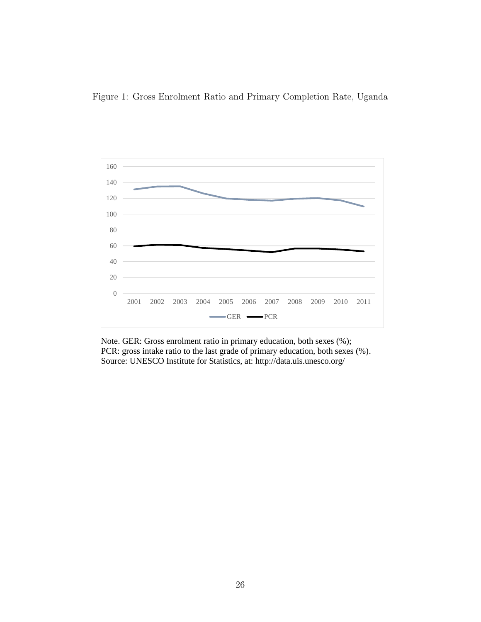



Note. GER: Gross enrolment ratio in primary education, both sexes (%); PCR: gross intake ratio to the last grade of primary education, both sexes (%). Source: UNESCO Institute for Statistics, at: http://data.uis.unesco.org/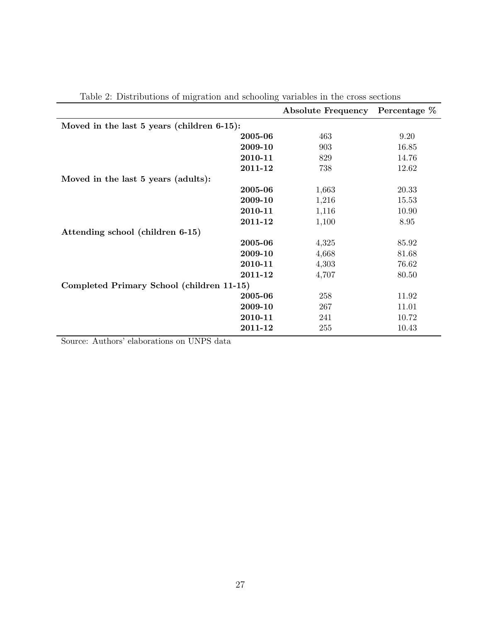| Table 2. Distributions of inigration and schooning variables in the cross sections | Absolute Frequency Percentage % |       |
|------------------------------------------------------------------------------------|---------------------------------|-------|
|                                                                                    |                                 |       |
| Moved in the last 5 years (children 6-15):                                         |                                 |       |
| 2005-06                                                                            | 463                             | 9.20  |
| 2009-10                                                                            | 903                             | 16.85 |
| 2010-11                                                                            | 829                             | 14.76 |
| 2011-12                                                                            | 738                             | 12.62 |
| Moved in the last 5 years (adults):                                                |                                 |       |
| 2005-06                                                                            | 1,663                           | 20.33 |
| 2009-10                                                                            | 1,216                           | 15.53 |
| 2010-11                                                                            | 1,116                           | 10.90 |
| 2011-12                                                                            | 1,100                           | 8.95  |
| Attending school (children 6-15)                                                   |                                 |       |
| 2005-06                                                                            | 4,325                           | 85.92 |
| 2009-10                                                                            | 4,668                           | 81.68 |
| 2010-11                                                                            | 4,303                           | 76.62 |
| 2011-12                                                                            | 4,707                           | 80.50 |
| Completed Primary School (children 11-15)                                          |                                 |       |
| 2005-06                                                                            | 258                             | 11.92 |
| 2009-10                                                                            | 267                             | 11.01 |
| 2010-11                                                                            | 241                             | 10.72 |
| 2011-12                                                                            | 255                             | 10.43 |

Table 2: Distributions of migration and schooling variables in the cross sections

Source: Authors' elaborations on UNPS data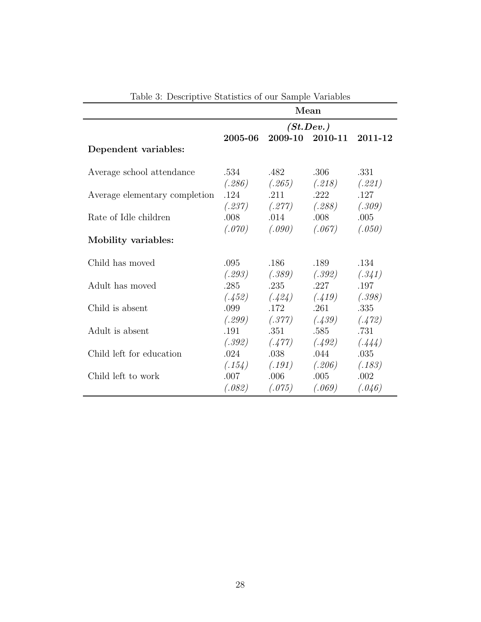|                               |         |                                     | Mean            |         |
|-------------------------------|---------|-------------------------------------|-----------------|---------|
|                               |         |                                     | (St. Dev.)      |         |
|                               | 2005-06 |                                     | 2009-10 2010-11 | 2011-12 |
| Dependent variables:          |         |                                     |                 |         |
| Average school attendance     | .534    | .482                                | .306            | .331    |
|                               |         | $(.286)$ $(.265)$ $(.218)$          |                 | (.221)  |
| Average elementary completion | .124    | .211                                | .222            | .127    |
|                               |         | $(.237)$ $(.277)$ $(.288)$ $(.309)$ |                 |         |
| Rate of Idle children         | .008    | .014                                | .008            | .005    |
|                               | (.070)  | $(.090)$ $(.067)$                   |                 | (.050)  |
| Mobility variables:           |         |                                     |                 |         |
| Child has moved               | .095    | .186                                | .189            | .134    |
|                               | (.293)  | $(.389)$ $(.392)$                   |                 | (.341)  |
| Adult has moved               | .285    | .235                                | .227            | .197    |
|                               |         | $(.452)$ $(.424)$ $(.419)$ $(.398)$ |                 |         |
| Child is absent               | .099    | .172                                | .261            | .335    |
|                               |         | $(.299)$ $(.377)$ $(.439)$          |                 | (.472)  |
| Adult is absent               | .191    | .351                                | .585            | .731    |
|                               |         | $(.392)$ $(.477)$ $(.492)$          |                 | (.444)  |
| Child left for education      | .024    | .038                                | .044            | .035    |
|                               |         | $(.154)$ $(.191)$ $(.206)$ $(.183)$ |                 |         |
| Child left to work            | .007    | .006                                | .005            | .002    |
|                               | (.082)  | (.075)                              | (.069)          | (.046)  |

Table 3: Descriptive Statistics of our Sample Variables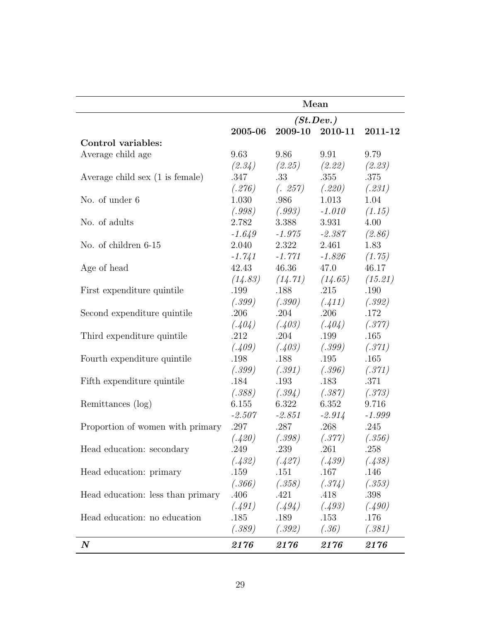|                                           |          |                                         | Mean       |          |
|-------------------------------------------|----------|-----------------------------------------|------------|----------|
|                                           |          |                                         | (St. Dev.) |          |
|                                           | 2005-06  | 2009-10                                 | 2010-11    | 2011-12  |
| Control variables:                        |          |                                         |            |          |
| Average child age                         | 9.63     | 9.86                                    | 9.91       | 9.79     |
|                                           |          | $(2.34)$ $(2.25)$ $(2.22)$ $(2.23)$     |            |          |
| Average child sex $(1 \text{ is female})$ | .347     | .33                                     | .355       | .375     |
|                                           |          | $(.276)$ $(.257)$ $(.220)$ $(.231)$     |            |          |
| No. of under 6                            | 1.030    | .986                                    | 1.013      | 1.04     |
|                                           |          | $(.998)$ $(.993)$                       | $-1.010$   | (1.15)   |
| No. of adults                             | 2.782    | 3.388                                   | 3.931      | 4.00     |
|                                           | $-1.649$ | $-1.975$                                | -2.387     | (2.86)   |
| No. of children 6-15                      | 2.040    | 2.322                                   | 2.461      | 1.83     |
|                                           |          | $-1.741 - 1.771$                        | -1.826     | (1.75)   |
| Age of head                               | 42.43    | 46.36                                   | 47.0       | 46.17    |
|                                           |          | $(14.83)$ $(14.71)$ $(14.65)$ $(15.21)$ |            |          |
| First expenditure quintile                | .199     | .188                                    | .215       | .190     |
|                                           |          | $(.399)$ $(.390)$ $(.411)$ $(.392)$     |            |          |
| Second expenditure quintile               | .206     | .204                                    | .206       | .172     |
|                                           |          | $(.404)$ $(.403)$ $(.404)$ $(.377)$     |            |          |
| Third expenditure quintile                | .212     | .204                                    | .199       | .165     |
|                                           | (.409)   | $(.403)$ $(.399)$                       |            | (.371)   |
| Fourth expenditure quintile               | .198     | .188                                    | .195       | .165     |
|                                           |          | $(.399)$ $(.391)$ $(.396)$ $(.371)$     |            |          |
| Fifth expenditure quintile                | .184     | .193                                    | .183       | .371     |
|                                           |          | $(.388)$ $(.394)$ $(.387)$ $(.373)$     |            |          |
| Remittances (log)                         | 6.155    | 6.322                                   | 6.352      | 9.716    |
|                                           | $-2.507$ | -2.851                                  | $-2.914$   | $-1.999$ |
| Proportion of women with primary          | .297     | .287                                    | .268       | .245     |
|                                           | (.420)   | (.398)                                  | (.377)     | (.356)   |
| Head education: secondary                 | .249     | .239                                    | .261       | .258     |
|                                           | (.432)   | (.427)                                  | (.439)     | (.438)   |
| Head education: primary                   | .159     | .151                                    | .167       | $.146\,$ |
|                                           | (.366)   | (.358)                                  | (.374)     | (.353)   |
| Head education: less than primary         | .406     | .421                                    | .418       | .398     |
|                                           | (.491)   | (.494)                                  | (.493)     | (.490)   |
| Head education: no education              | .185     | .189                                    | .153       | .176     |
|                                           | (.389)   | (.392)                                  | (.36)      | (.381)   |
| $\boldsymbol{N}$                          | 2176     | 2176                                    | 2176       | 2176     |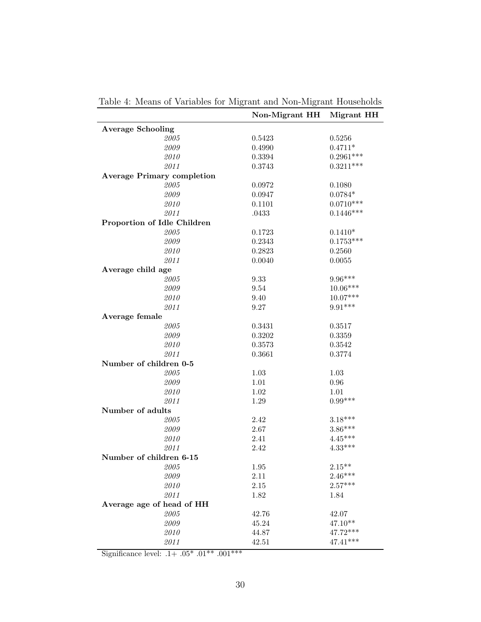|                                   | Non-Migrant HH | Migrant HH        |
|-----------------------------------|----------------|-------------------|
| <b>Average Schooling</b>          |                |                   |
| 2005                              | 0.5423         | 0.5256            |
| 2009                              | 0.4990         | $0.4711*$         |
| 2010                              | 0.3394         | $0.2961***$       |
| 2011                              | 0.3743         | $0.3211***$       |
| <b>Average Primary completion</b> |                |                   |
| 2005                              | 0.0972         | 0.1080            |
| 2009                              | 0.0947         | $0.0784*$         |
| 2010                              | 0.1101         | $0.0710***$       |
| 2011                              | .0433          | $0.1446***$       |
| Proportion of Idle Children       |                |                   |
| 2005                              | 0.1723         | $0.1410^{\ast}$   |
| 2009                              | 0.2343         | $0.1753***$       |
| 2010                              | 0.2823         | 0.2560            |
| 2011                              | 0.0040         | 0.0055            |
| Average child age                 |                |                   |
| $\it 2005$                        | 9.33           | $9.96***$         |
| 2009                              | 9.54           | $10.06***$        |
| 2010                              | 9.40           | $10.07***$        |
| 2011                              | 9.27           | $9.91***$         |
| Average female                    |                |                   |
| 2005                              | 0.3431         | 0.3517            |
| 2009                              | 0.3202         | 0.3359            |
| 2010                              | 0.3573         | 0.3542            |
| 2011                              | 0.3661         | 0.3774            |
| Number of children 0-5            |                |                   |
| 2005                              | 1.03           | 1.03              |
| 2009                              | 1.01           | 0.96              |
| 2010                              | 1.02           | 1.01              |
| 2011                              | 1.29           | $0.99***$         |
| Number of adults                  |                |                   |
| 2005                              | 2.42           | $3.18***$         |
| 2009                              | 2.67           | $3.86***$         |
| 2010                              | 2.41           | $4.45***$         |
| 2011                              | 2.42           | $4.33***$         |
| Number of children 6-15           |                |                   |
| 2005                              | 1.95           | $2.15^{\ast\ast}$ |
| 2009                              | 2.11           | $2.46***$         |
| 2010                              | 2.15           | $2.57***$         |
| 2011                              | 1.82           | 1.84              |
| Average age of head of HH         |                |                   |
| 2005                              | 42.76          | 42.07             |
| 2009                              | 45.24          | $47.10**$         |
| 2010                              | 44.87          | 47.72***          |
| 2011                              | 42.51          | $47.41***$        |
|                                   |                |                   |

Table 4: Means of Variables for Migrant and Non-Migrant Households

Significance level: .1+  $.05^*$   $.01^{***}$   $.001^{***}$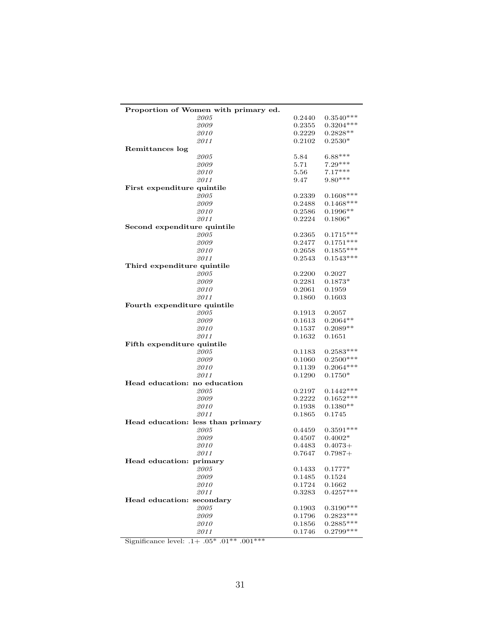| Proportion of Women with primary ed. |        |              |
|--------------------------------------|--------|--------------|
| 2005                                 | 0.2440 | $0.3540***$  |
| 2009                                 | 0.2355 | $0.3204***$  |
| 2010                                 | 0.2229 | $0.2828**$   |
| 2011                                 | 0.2102 | $0.2530*$    |
| Remittances log                      |        |              |
| 2005                                 | 5.84   | $6.88***$    |
| 2009                                 | 5.71   | $7.29***$    |
| 2010                                 | 5.56   | $7.17***$    |
| 2011                                 | 9.47   | $9.80***$    |
| First expenditure quintile           |        |              |
| 2005                                 | 0.2339 | $0.1608***$  |
| 2009                                 | 0.2488 | $0.1468***$  |
| 2010                                 | 0.2586 | $0.1996**$   |
| 2011                                 | 0.2224 | $0.1806*$    |
| Second expenditure quintile          |        |              |
| 2005                                 | 0.2365 | $0.1715***$  |
| 2009                                 | 0.2477 | $0.1751***$  |
| 2010                                 | 0.2658 | $0.1855***$  |
| 2011                                 | 0.2543 | $0.1543***$  |
| Third expenditure quintile           |        |              |
| 2005                                 | 0.2200 | 0.2027       |
| 2009                                 | 0.2281 | $0.1873*$    |
| 2010                                 | 0.2061 | 0.1959       |
| 2011                                 | 0.1860 | 0.1603       |
| Fourth expenditure quintile          |        |              |
| 2005                                 | 0.1913 | 0.2057       |
| 2009                                 | 0.1613 | $0.2064**$   |
| 2010                                 | 0.1537 | $0.2089**$   |
| 2011                                 | 0.1632 | 0.1651       |
| Fifth expenditure quintile           |        |              |
| 2005                                 | 0.1183 | $0.2583***$  |
| 2009                                 | 0.1060 | $0.2500***$  |
| 2010                                 | 0.1139 | $0.2064***$  |
| 2011                                 | 0.1290 | $0.1750*$    |
| Head education: no education         |        |              |
| 2005                                 | 0.2197 | $0.1442***$  |
| 2009                                 | 0.2222 | $0.1652***$  |
| 2010                                 | 0.1938 | $0.1380**$   |
| 2011                                 | 0.1865 | 0.1745       |
| Head education: less than primary    |        |              |
| 2005                                 | 0.4459 | $0.3591***$  |
| 2009                                 | 0.4507 | $0.4002*$    |
| 2010                                 | 0.4483 | $0.4073+$    |
| 2011                                 | 0.7647 | $0.7987+$    |
| Head education: primary              |        |              |
| 2005                                 | 0.1433 | $0.1777*$    |
| 2009                                 | 0.1485 | $\,0.1524\,$ |
| 2010                                 | 0.1724 | 0.1662       |
| 2011                                 | 0.3283 | $0.4257***$  |
| Head education: secondary            |        |              |
| 2005                                 | 0.1903 | $0.3190***$  |
| 2009                                 | 0.1796 | $0.2823***$  |
| 2010                                 | 0.1856 | $0.2885***$  |
| 2011                                 | 0.1746 | $0.2799***$  |
|                                      |        |              |

Significance level:  $.1+$   $.05^*$   $.01^{**}$   $.001^{***}$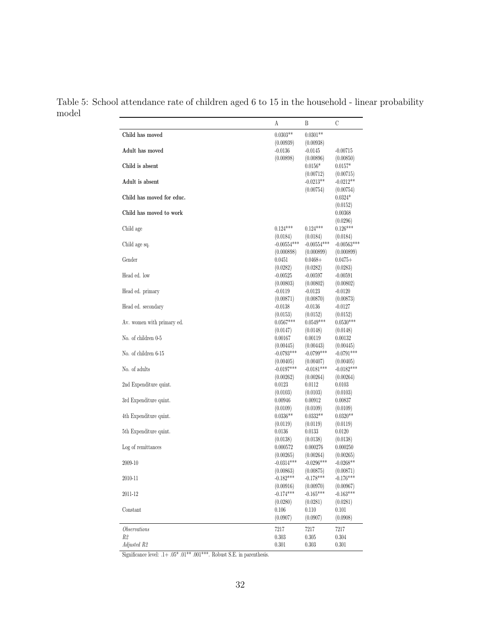Table 5: School attendance rate of children aged 6 to 15 in the household - linear probability model

| Child has moved<br>$0.0303**$<br>$0.0301**$<br>(0.00939)<br>(0.00938)<br>Adult has moved<br>$-0.0136$<br>$-0.0145$<br>$-0.00715$<br>(0.00898)<br>(0.00896)<br>(0.00850)<br>Child is absent<br>$0.0156*$<br>$0.0157*$<br>(0.00712)<br>(0.00715)<br>Adult is absent<br>$-0.0213**$<br>$-0.0212**$<br>(0.00754)<br>(0.00754)<br>Child has moved for educ.<br>$0.0324*$<br>(0.0152)<br>Child has moved to work<br>0.00368<br>(0.0296)<br>$0.124***$<br>$0.124***$<br>$0.126***$<br>Child age<br>(0.0184)<br>(0.0184)<br>(0.0184)<br>$-0.00554***$<br>$-0.00554***$<br>$-0.00563***$<br>Child age sq.<br>(0.000898)<br>(0.000899)<br>(0.000899)<br>Gender<br>0.0451<br>$0.0468 +$<br>$0.0475+$<br>(0.0282)<br>(0.0282)<br>(0.0283)<br>Head ed. low<br>$-0.00525$<br>-0.00597<br>$-0.00591$<br>(0.00803)<br>(0.00802)<br>(0.00802)<br>$-0.0119$<br>$-0.0123$<br>Head ed. primary<br>$-0.0120$<br>(0.00871)<br>(0.00870)<br>(0.00873)<br>Head ed. secondary<br>$-0.0138$<br>$-0.0136$<br>$-0.0127$<br>(0.0153)<br>(0.0152)<br>(0.0152)<br>$0.0567***$<br>$0.0549***$<br>Av. women with primary ed.<br>$0.0530***$<br>(0.0147)<br>(0.0148)<br>(0.0148)<br>No. of children 0-5<br>0.00167<br>0.00119<br>0.00132<br>(0.00445)<br>(0.00443)<br>(0.00445)<br>No. of children 6-15<br>$-0.0793***$<br>$-0.0799***$<br>$-0.0791***$<br>(0.00405)<br>(0.00407)<br>(0.00405)<br>No. of adults<br>$-0.0197***$<br>$-0.0181***$<br>$-0.0182***$<br>(0.00262)<br>(0.00264)<br>(0.00264)<br>2nd Expenditure quint.<br>0.0123<br>0.0112<br>0.0103<br>(0.0103)<br>(0.0103)<br>(0.0103)<br>3rd Expenditure quint.<br>0.00946<br>0.00912<br>0.00837<br>(0.0109)<br>(0.0109)<br>(0.0109)<br>$0.0336**$<br>$0.0332**$<br>$0.0320**$<br>4th Expenditure quint.<br>(0.0119)<br>(0.0119)<br>(0.0119)<br>5th Expenditure quint.<br>0.0136<br>0.0133<br>0.0120<br>(0.0138)<br>(0.0138)<br>(0.0138)<br>Log of remittances<br>0.000572<br>0.000276<br>0.000250<br>(0.00265)<br>(0.00264)<br>(0.00265)<br>$-0.0314***$<br>$-0.0296***$<br>$-0.0268**$<br>2009-10<br>(0.00863)<br>(0.00875)<br>(0.00871)<br>$-0.182***$<br>$-0.176***$<br>$-0.178***$<br>2010-11<br>(0.00916)<br>(0.00970)<br>(0.00967)<br>$-0.174***$<br>$-0.163***$<br>$-0.165***$<br>2011-12<br>(0.0280)<br>(0.0281)<br>(0.0281)<br>0.106<br>Constant<br>0.110<br>0.101<br>(0.0907)<br>(0.0907)<br>(0.0908)<br><i>Observations</i><br>7217<br>7217<br>7217<br>R2<br>0.303<br>0.304<br>0.305<br>Adjusted R2<br>0.301<br>0.303<br>0.301 | А | Β | C |
|-----------------------------------------------------------------------------------------------------------------------------------------------------------------------------------------------------------------------------------------------------------------------------------------------------------------------------------------------------------------------------------------------------------------------------------------------------------------------------------------------------------------------------------------------------------------------------------------------------------------------------------------------------------------------------------------------------------------------------------------------------------------------------------------------------------------------------------------------------------------------------------------------------------------------------------------------------------------------------------------------------------------------------------------------------------------------------------------------------------------------------------------------------------------------------------------------------------------------------------------------------------------------------------------------------------------------------------------------------------------------------------------------------------------------------------------------------------------------------------------------------------------------------------------------------------------------------------------------------------------------------------------------------------------------------------------------------------------------------------------------------------------------------------------------------------------------------------------------------------------------------------------------------------------------------------------------------------------------------------------------------------------------------------------------------------------------------------------------------------------------------------------------------------------------------------------------------------------------------------------------------------------------------------------------------------------------------------------------------------------------------------------------------------------------------------------------------------------------|---|---|---|
|                                                                                                                                                                                                                                                                                                                                                                                                                                                                                                                                                                                                                                                                                                                                                                                                                                                                                                                                                                                                                                                                                                                                                                                                                                                                                                                                                                                                                                                                                                                                                                                                                                                                                                                                                                                                                                                                                                                                                                                                                                                                                                                                                                                                                                                                                                                                                                                                                                                                       |   |   |   |
|                                                                                                                                                                                                                                                                                                                                                                                                                                                                                                                                                                                                                                                                                                                                                                                                                                                                                                                                                                                                                                                                                                                                                                                                                                                                                                                                                                                                                                                                                                                                                                                                                                                                                                                                                                                                                                                                                                                                                                                                                                                                                                                                                                                                                                                                                                                                                                                                                                                                       |   |   |   |
|                                                                                                                                                                                                                                                                                                                                                                                                                                                                                                                                                                                                                                                                                                                                                                                                                                                                                                                                                                                                                                                                                                                                                                                                                                                                                                                                                                                                                                                                                                                                                                                                                                                                                                                                                                                                                                                                                                                                                                                                                                                                                                                                                                                                                                                                                                                                                                                                                                                                       |   |   |   |
|                                                                                                                                                                                                                                                                                                                                                                                                                                                                                                                                                                                                                                                                                                                                                                                                                                                                                                                                                                                                                                                                                                                                                                                                                                                                                                                                                                                                                                                                                                                                                                                                                                                                                                                                                                                                                                                                                                                                                                                                                                                                                                                                                                                                                                                                                                                                                                                                                                                                       |   |   |   |
|                                                                                                                                                                                                                                                                                                                                                                                                                                                                                                                                                                                                                                                                                                                                                                                                                                                                                                                                                                                                                                                                                                                                                                                                                                                                                                                                                                                                                                                                                                                                                                                                                                                                                                                                                                                                                                                                                                                                                                                                                                                                                                                                                                                                                                                                                                                                                                                                                                                                       |   |   |   |
|                                                                                                                                                                                                                                                                                                                                                                                                                                                                                                                                                                                                                                                                                                                                                                                                                                                                                                                                                                                                                                                                                                                                                                                                                                                                                                                                                                                                                                                                                                                                                                                                                                                                                                                                                                                                                                                                                                                                                                                                                                                                                                                                                                                                                                                                                                                                                                                                                                                                       |   |   |   |
|                                                                                                                                                                                                                                                                                                                                                                                                                                                                                                                                                                                                                                                                                                                                                                                                                                                                                                                                                                                                                                                                                                                                                                                                                                                                                                                                                                                                                                                                                                                                                                                                                                                                                                                                                                                                                                                                                                                                                                                                                                                                                                                                                                                                                                                                                                                                                                                                                                                                       |   |   |   |
|                                                                                                                                                                                                                                                                                                                                                                                                                                                                                                                                                                                                                                                                                                                                                                                                                                                                                                                                                                                                                                                                                                                                                                                                                                                                                                                                                                                                                                                                                                                                                                                                                                                                                                                                                                                                                                                                                                                                                                                                                                                                                                                                                                                                                                                                                                                                                                                                                                                                       |   |   |   |
|                                                                                                                                                                                                                                                                                                                                                                                                                                                                                                                                                                                                                                                                                                                                                                                                                                                                                                                                                                                                                                                                                                                                                                                                                                                                                                                                                                                                                                                                                                                                                                                                                                                                                                                                                                                                                                                                                                                                                                                                                                                                                                                                                                                                                                                                                                                                                                                                                                                                       |   |   |   |
|                                                                                                                                                                                                                                                                                                                                                                                                                                                                                                                                                                                                                                                                                                                                                                                                                                                                                                                                                                                                                                                                                                                                                                                                                                                                                                                                                                                                                                                                                                                                                                                                                                                                                                                                                                                                                                                                                                                                                                                                                                                                                                                                                                                                                                                                                                                                                                                                                                                                       |   |   |   |
|                                                                                                                                                                                                                                                                                                                                                                                                                                                                                                                                                                                                                                                                                                                                                                                                                                                                                                                                                                                                                                                                                                                                                                                                                                                                                                                                                                                                                                                                                                                                                                                                                                                                                                                                                                                                                                                                                                                                                                                                                                                                                                                                                                                                                                                                                                                                                                                                                                                                       |   |   |   |
|                                                                                                                                                                                                                                                                                                                                                                                                                                                                                                                                                                                                                                                                                                                                                                                                                                                                                                                                                                                                                                                                                                                                                                                                                                                                                                                                                                                                                                                                                                                                                                                                                                                                                                                                                                                                                                                                                                                                                                                                                                                                                                                                                                                                                                                                                                                                                                                                                                                                       |   |   |   |
|                                                                                                                                                                                                                                                                                                                                                                                                                                                                                                                                                                                                                                                                                                                                                                                                                                                                                                                                                                                                                                                                                                                                                                                                                                                                                                                                                                                                                                                                                                                                                                                                                                                                                                                                                                                                                                                                                                                                                                                                                                                                                                                                                                                                                                                                                                                                                                                                                                                                       |   |   |   |
|                                                                                                                                                                                                                                                                                                                                                                                                                                                                                                                                                                                                                                                                                                                                                                                                                                                                                                                                                                                                                                                                                                                                                                                                                                                                                                                                                                                                                                                                                                                                                                                                                                                                                                                                                                                                                                                                                                                                                                                                                                                                                                                                                                                                                                                                                                                                                                                                                                                                       |   |   |   |
|                                                                                                                                                                                                                                                                                                                                                                                                                                                                                                                                                                                                                                                                                                                                                                                                                                                                                                                                                                                                                                                                                                                                                                                                                                                                                                                                                                                                                                                                                                                                                                                                                                                                                                                                                                                                                                                                                                                                                                                                                                                                                                                                                                                                                                                                                                                                                                                                                                                                       |   |   |   |
|                                                                                                                                                                                                                                                                                                                                                                                                                                                                                                                                                                                                                                                                                                                                                                                                                                                                                                                                                                                                                                                                                                                                                                                                                                                                                                                                                                                                                                                                                                                                                                                                                                                                                                                                                                                                                                                                                                                                                                                                                                                                                                                                                                                                                                                                                                                                                                                                                                                                       |   |   |   |
|                                                                                                                                                                                                                                                                                                                                                                                                                                                                                                                                                                                                                                                                                                                                                                                                                                                                                                                                                                                                                                                                                                                                                                                                                                                                                                                                                                                                                                                                                                                                                                                                                                                                                                                                                                                                                                                                                                                                                                                                                                                                                                                                                                                                                                                                                                                                                                                                                                                                       |   |   |   |
|                                                                                                                                                                                                                                                                                                                                                                                                                                                                                                                                                                                                                                                                                                                                                                                                                                                                                                                                                                                                                                                                                                                                                                                                                                                                                                                                                                                                                                                                                                                                                                                                                                                                                                                                                                                                                                                                                                                                                                                                                                                                                                                                                                                                                                                                                                                                                                                                                                                                       |   |   |   |
|                                                                                                                                                                                                                                                                                                                                                                                                                                                                                                                                                                                                                                                                                                                                                                                                                                                                                                                                                                                                                                                                                                                                                                                                                                                                                                                                                                                                                                                                                                                                                                                                                                                                                                                                                                                                                                                                                                                                                                                                                                                                                                                                                                                                                                                                                                                                                                                                                                                                       |   |   |   |
|                                                                                                                                                                                                                                                                                                                                                                                                                                                                                                                                                                                                                                                                                                                                                                                                                                                                                                                                                                                                                                                                                                                                                                                                                                                                                                                                                                                                                                                                                                                                                                                                                                                                                                                                                                                                                                                                                                                                                                                                                                                                                                                                                                                                                                                                                                                                                                                                                                                                       |   |   |   |
|                                                                                                                                                                                                                                                                                                                                                                                                                                                                                                                                                                                                                                                                                                                                                                                                                                                                                                                                                                                                                                                                                                                                                                                                                                                                                                                                                                                                                                                                                                                                                                                                                                                                                                                                                                                                                                                                                                                                                                                                                                                                                                                                                                                                                                                                                                                                                                                                                                                                       |   |   |   |
|                                                                                                                                                                                                                                                                                                                                                                                                                                                                                                                                                                                                                                                                                                                                                                                                                                                                                                                                                                                                                                                                                                                                                                                                                                                                                                                                                                                                                                                                                                                                                                                                                                                                                                                                                                                                                                                                                                                                                                                                                                                                                                                                                                                                                                                                                                                                                                                                                                                                       |   |   |   |
|                                                                                                                                                                                                                                                                                                                                                                                                                                                                                                                                                                                                                                                                                                                                                                                                                                                                                                                                                                                                                                                                                                                                                                                                                                                                                                                                                                                                                                                                                                                                                                                                                                                                                                                                                                                                                                                                                                                                                                                                                                                                                                                                                                                                                                                                                                                                                                                                                                                                       |   |   |   |
|                                                                                                                                                                                                                                                                                                                                                                                                                                                                                                                                                                                                                                                                                                                                                                                                                                                                                                                                                                                                                                                                                                                                                                                                                                                                                                                                                                                                                                                                                                                                                                                                                                                                                                                                                                                                                                                                                                                                                                                                                                                                                                                                                                                                                                                                                                                                                                                                                                                                       |   |   |   |
|                                                                                                                                                                                                                                                                                                                                                                                                                                                                                                                                                                                                                                                                                                                                                                                                                                                                                                                                                                                                                                                                                                                                                                                                                                                                                                                                                                                                                                                                                                                                                                                                                                                                                                                                                                                                                                                                                                                                                                                                                                                                                                                                                                                                                                                                                                                                                                                                                                                                       |   |   |   |
|                                                                                                                                                                                                                                                                                                                                                                                                                                                                                                                                                                                                                                                                                                                                                                                                                                                                                                                                                                                                                                                                                                                                                                                                                                                                                                                                                                                                                                                                                                                                                                                                                                                                                                                                                                                                                                                                                                                                                                                                                                                                                                                                                                                                                                                                                                                                                                                                                                                                       |   |   |   |
|                                                                                                                                                                                                                                                                                                                                                                                                                                                                                                                                                                                                                                                                                                                                                                                                                                                                                                                                                                                                                                                                                                                                                                                                                                                                                                                                                                                                                                                                                                                                                                                                                                                                                                                                                                                                                                                                                                                                                                                                                                                                                                                                                                                                                                                                                                                                                                                                                                                                       |   |   |   |
|                                                                                                                                                                                                                                                                                                                                                                                                                                                                                                                                                                                                                                                                                                                                                                                                                                                                                                                                                                                                                                                                                                                                                                                                                                                                                                                                                                                                                                                                                                                                                                                                                                                                                                                                                                                                                                                                                                                                                                                                                                                                                                                                                                                                                                                                                                                                                                                                                                                                       |   |   |   |
|                                                                                                                                                                                                                                                                                                                                                                                                                                                                                                                                                                                                                                                                                                                                                                                                                                                                                                                                                                                                                                                                                                                                                                                                                                                                                                                                                                                                                                                                                                                                                                                                                                                                                                                                                                                                                                                                                                                                                                                                                                                                                                                                                                                                                                                                                                                                                                                                                                                                       |   |   |   |
|                                                                                                                                                                                                                                                                                                                                                                                                                                                                                                                                                                                                                                                                                                                                                                                                                                                                                                                                                                                                                                                                                                                                                                                                                                                                                                                                                                                                                                                                                                                                                                                                                                                                                                                                                                                                                                                                                                                                                                                                                                                                                                                                                                                                                                                                                                                                                                                                                                                                       |   |   |   |
|                                                                                                                                                                                                                                                                                                                                                                                                                                                                                                                                                                                                                                                                                                                                                                                                                                                                                                                                                                                                                                                                                                                                                                                                                                                                                                                                                                                                                                                                                                                                                                                                                                                                                                                                                                                                                                                                                                                                                                                                                                                                                                                                                                                                                                                                                                                                                                                                                                                                       |   |   |   |
|                                                                                                                                                                                                                                                                                                                                                                                                                                                                                                                                                                                                                                                                                                                                                                                                                                                                                                                                                                                                                                                                                                                                                                                                                                                                                                                                                                                                                                                                                                                                                                                                                                                                                                                                                                                                                                                                                                                                                                                                                                                                                                                                                                                                                                                                                                                                                                                                                                                                       |   |   |   |
|                                                                                                                                                                                                                                                                                                                                                                                                                                                                                                                                                                                                                                                                                                                                                                                                                                                                                                                                                                                                                                                                                                                                                                                                                                                                                                                                                                                                                                                                                                                                                                                                                                                                                                                                                                                                                                                                                                                                                                                                                                                                                                                                                                                                                                                                                                                                                                                                                                                                       |   |   |   |
|                                                                                                                                                                                                                                                                                                                                                                                                                                                                                                                                                                                                                                                                                                                                                                                                                                                                                                                                                                                                                                                                                                                                                                                                                                                                                                                                                                                                                                                                                                                                                                                                                                                                                                                                                                                                                                                                                                                                                                                                                                                                                                                                                                                                                                                                                                                                                                                                                                                                       |   |   |   |
|                                                                                                                                                                                                                                                                                                                                                                                                                                                                                                                                                                                                                                                                                                                                                                                                                                                                                                                                                                                                                                                                                                                                                                                                                                                                                                                                                                                                                                                                                                                                                                                                                                                                                                                                                                                                                                                                                                                                                                                                                                                                                                                                                                                                                                                                                                                                                                                                                                                                       |   |   |   |
|                                                                                                                                                                                                                                                                                                                                                                                                                                                                                                                                                                                                                                                                                                                                                                                                                                                                                                                                                                                                                                                                                                                                                                                                                                                                                                                                                                                                                                                                                                                                                                                                                                                                                                                                                                                                                                                                                                                                                                                                                                                                                                                                                                                                                                                                                                                                                                                                                                                                       |   |   |   |
|                                                                                                                                                                                                                                                                                                                                                                                                                                                                                                                                                                                                                                                                                                                                                                                                                                                                                                                                                                                                                                                                                                                                                                                                                                                                                                                                                                                                                                                                                                                                                                                                                                                                                                                                                                                                                                                                                                                                                                                                                                                                                                                                                                                                                                                                                                                                                                                                                                                                       |   |   |   |
|                                                                                                                                                                                                                                                                                                                                                                                                                                                                                                                                                                                                                                                                                                                                                                                                                                                                                                                                                                                                                                                                                                                                                                                                                                                                                                                                                                                                                                                                                                                                                                                                                                                                                                                                                                                                                                                                                                                                                                                                                                                                                                                                                                                                                                                                                                                                                                                                                                                                       |   |   |   |
|                                                                                                                                                                                                                                                                                                                                                                                                                                                                                                                                                                                                                                                                                                                                                                                                                                                                                                                                                                                                                                                                                                                                                                                                                                                                                                                                                                                                                                                                                                                                                                                                                                                                                                                                                                                                                                                                                                                                                                                                                                                                                                                                                                                                                                                                                                                                                                                                                                                                       |   |   |   |
|                                                                                                                                                                                                                                                                                                                                                                                                                                                                                                                                                                                                                                                                                                                                                                                                                                                                                                                                                                                                                                                                                                                                                                                                                                                                                                                                                                                                                                                                                                                                                                                                                                                                                                                                                                                                                                                                                                                                                                                                                                                                                                                                                                                                                                                                                                                                                                                                                                                                       |   |   |   |
|                                                                                                                                                                                                                                                                                                                                                                                                                                                                                                                                                                                                                                                                                                                                                                                                                                                                                                                                                                                                                                                                                                                                                                                                                                                                                                                                                                                                                                                                                                                                                                                                                                                                                                                                                                                                                                                                                                                                                                                                                                                                                                                                                                                                                                                                                                                                                                                                                                                                       |   |   |   |
|                                                                                                                                                                                                                                                                                                                                                                                                                                                                                                                                                                                                                                                                                                                                                                                                                                                                                                                                                                                                                                                                                                                                                                                                                                                                                                                                                                                                                                                                                                                                                                                                                                                                                                                                                                                                                                                                                                                                                                                                                                                                                                                                                                                                                                                                                                                                                                                                                                                                       |   |   |   |
|                                                                                                                                                                                                                                                                                                                                                                                                                                                                                                                                                                                                                                                                                                                                                                                                                                                                                                                                                                                                                                                                                                                                                                                                                                                                                                                                                                                                                                                                                                                                                                                                                                                                                                                                                                                                                                                                                                                                                                                                                                                                                                                                                                                                                                                                                                                                                                                                                                                                       |   |   |   |
|                                                                                                                                                                                                                                                                                                                                                                                                                                                                                                                                                                                                                                                                                                                                                                                                                                                                                                                                                                                                                                                                                                                                                                                                                                                                                                                                                                                                                                                                                                                                                                                                                                                                                                                                                                                                                                                                                                                                                                                                                                                                                                                                                                                                                                                                                                                                                                                                                                                                       |   |   |   |
|                                                                                                                                                                                                                                                                                                                                                                                                                                                                                                                                                                                                                                                                                                                                                                                                                                                                                                                                                                                                                                                                                                                                                                                                                                                                                                                                                                                                                                                                                                                                                                                                                                                                                                                                                                                                                                                                                                                                                                                                                                                                                                                                                                                                                                                                                                                                                                                                                                                                       |   |   |   |
|                                                                                                                                                                                                                                                                                                                                                                                                                                                                                                                                                                                                                                                                                                                                                                                                                                                                                                                                                                                                                                                                                                                                                                                                                                                                                                                                                                                                                                                                                                                                                                                                                                                                                                                                                                                                                                                                                                                                                                                                                                                                                                                                                                                                                                                                                                                                                                                                                                                                       |   |   |   |
|                                                                                                                                                                                                                                                                                                                                                                                                                                                                                                                                                                                                                                                                                                                                                                                                                                                                                                                                                                                                                                                                                                                                                                                                                                                                                                                                                                                                                                                                                                                                                                                                                                                                                                                                                                                                                                                                                                                                                                                                                                                                                                                                                                                                                                                                                                                                                                                                                                                                       |   |   |   |
|                                                                                                                                                                                                                                                                                                                                                                                                                                                                                                                                                                                                                                                                                                                                                                                                                                                                                                                                                                                                                                                                                                                                                                                                                                                                                                                                                                                                                                                                                                                                                                                                                                                                                                                                                                                                                                                                                                                                                                                                                                                                                                                                                                                                                                                                                                                                                                                                                                                                       |   |   |   |
|                                                                                                                                                                                                                                                                                                                                                                                                                                                                                                                                                                                                                                                                                                                                                                                                                                                                                                                                                                                                                                                                                                                                                                                                                                                                                                                                                                                                                                                                                                                                                                                                                                                                                                                                                                                                                                                                                                                                                                                                                                                                                                                                                                                                                                                                                                                                                                                                                                                                       |   |   |   |
|                                                                                                                                                                                                                                                                                                                                                                                                                                                                                                                                                                                                                                                                                                                                                                                                                                                                                                                                                                                                                                                                                                                                                                                                                                                                                                                                                                                                                                                                                                                                                                                                                                                                                                                                                                                                                                                                                                                                                                                                                                                                                                                                                                                                                                                                                                                                                                                                                                                                       |   |   |   |
|                                                                                                                                                                                                                                                                                                                                                                                                                                                                                                                                                                                                                                                                                                                                                                                                                                                                                                                                                                                                                                                                                                                                                                                                                                                                                                                                                                                                                                                                                                                                                                                                                                                                                                                                                                                                                                                                                                                                                                                                                                                                                                                                                                                                                                                                                                                                                                                                                                                                       |   |   |   |

Significance level: .1+  $.05^*$   $.01^{**}$   $.001^{***}$  . Robust S.E. in parenthesis.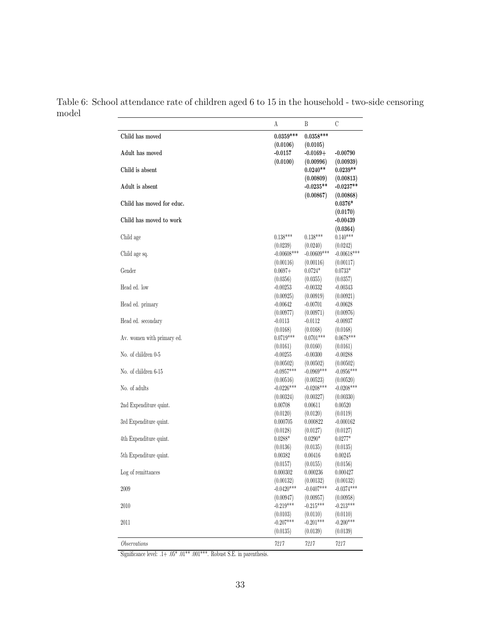Table 6: School attendance rate of children aged 6 to 15 in the household - two-side censoring model

|                            | А                         | B                         | C                         |
|----------------------------|---------------------------|---------------------------|---------------------------|
| Child has moved            | $0.0359***$               | $0.0358***$               |                           |
|                            | (0.0106)                  | (0.0105)                  |                           |
| Adult has moved            | $-0.0157$                 | $-0.0169+$                | $-0.00790$                |
|                            | (0.0100)                  | (0.00996)                 | (0.00939)                 |
| Child is absent            |                           | $0.0240**$                | $0.0239**$                |
|                            |                           | (0.00809)                 | (0.00813)                 |
| Adult is absent            |                           | $-0.0235**$               | $-0.0237**$               |
|                            |                           | (0.00867)                 | (0.00868)                 |
| Child has moved for educ.  |                           |                           | $0.0376*$                 |
|                            |                           |                           | (0.0170)                  |
| Child has moved to work    |                           |                           | $-0.00439$                |
| Child age                  | $0.138***$                | $0.138***$                | (0.0364)<br>$0.140***$    |
|                            | (0.0239)                  | (0.0240)                  | (0.0242)                  |
| Child age sq.              | $-0.00608***$             | $-0.00609***$             | $-0.00618***$             |
|                            | (0.00116)                 | (0.00116)                 | (0.00117)                 |
| Gender                     | $0.0697+$                 | $0.0724*$                 | $0.0733*$                 |
|                            | (0.0356)                  | (0.0355)                  | (0.0357)                  |
| Head ed. low               | $-0.00253$                | $-0.00332$                | $-0.00343$                |
|                            | (0.00925)                 | (0.00919)                 | (0.00921)                 |
| Head ed. primary           | $-0.00642$                | $-0.00701$                | $-0.00628$                |
|                            | (0.00977)                 | (0.00971)                 | (0.00976)                 |
| Head ed. secondary         | $-0.0113$                 | $-0.0112$                 | $-0.00937$                |
|                            | (0.0168)                  | (0.0168)                  | (0.0168)                  |
| Av. women with primary ed. | $0.0719***$               | $0.0701***$               | $0.0678***$               |
|                            | (0.0161)                  | (0.0160)                  | (0.0161)                  |
| No. of children 0-5        | $-0.00255$                | $-0.00300$                | $-0.00288$                |
| No. of children 6-15       | (0.00502)<br>$-0.0957***$ | (0.00502)<br>$-0.0969***$ | (0.00502)<br>$-0.0956***$ |
|                            | (0.00516)                 | (0.00523)                 | (0.00520)                 |
| No. of adults              | $-0.0226***$              | $-0.0208***$              | $-0.0208***$              |
|                            | (0.00324)                 | (0.00327)                 | (0.00330)                 |
| 2nd Expenditure quint.     | 0.00708                   | 0.00611                   | 0.00520                   |
|                            | (0.0120)                  | (0.0120)                  | (0.0119)                  |
| 3rd Expenditure quint.     | 0.000705                  | 0.000822                  | $-0.000162$               |
|                            | (0.0128)                  | (0.0127)                  | (0.0127)                  |
| 4th Expenditure quint.     | $0.0288*$                 | $0.0290*$                 | $0.0277*$                 |
|                            | (0.0136)                  | (0.0135)                  | (0.0135)                  |
| 5th Expenditure quint.     | 0.00382                   | 0.00416                   | 0.00245                   |
|                            | (0.0157)                  | (0.0155)                  | (0.0156)                  |
| Log of remittances         | $0.000302\,$              | 0.000236                  | 0.000427                  |
| 2009                       | (0.00132)<br>$-0.0420***$ | (0.00132)<br>$-0.0407***$ | (0.00132)<br>$-0.0374***$ |
|                            | (0.00947)                 | (0.00957)                 | (0.00958)                 |
| 2010                       | $-0.219***$               | $-0.215***$               | $-0.213***$               |
|                            | (0.0103)                  | (0.0110)                  | (0.0110)                  |
| 2011                       | $-0.207***$               | $-0.201***$               | $-0.200***$               |
|                            | (0.0135)                  | (0.0139)                  | (0.0139)                  |
|                            |                           |                           |                           |
| <i>Observations</i>        | 7217                      | 7217                      | 7217                      |

Significance level: .1+  $.05^*$   $.01^{***}$   $.001^{***}$  . Robust S.E. in parenthesis.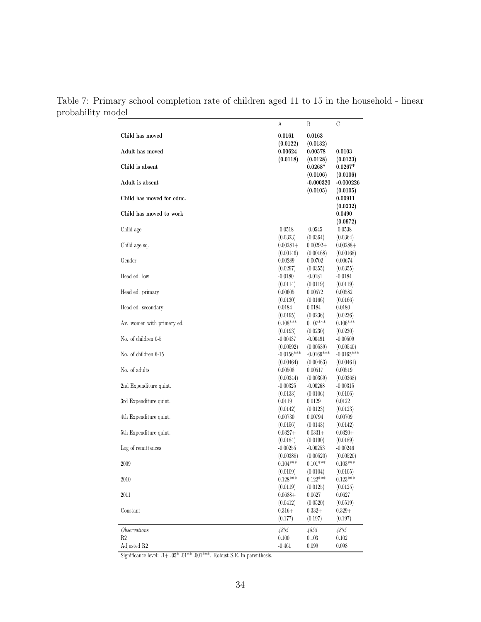Table 7: Primary school completion rate of children aged 11 to 15 in the household - linear probability model

|                            | А                   | Β                                   | С                                   |
|----------------------------|---------------------|-------------------------------------|-------------------------------------|
| Child has moved            | 0.0161              | 0.0163                              |                                     |
| Adult has moved            | (0.0122)<br>0.00624 | (0.0132)<br>0.00578                 | 0.0103                              |
| Child is absent            | (0.0118)            | (0.0128)<br>$0.0268*$               | (0.0123)<br>$0.0267*$               |
| Adult is absent            |                     | (0.0106)<br>$-0.000320$<br>(0.0105) | (0.0106)<br>$-0.000226$<br>(0.0105) |
| Child has moved for educ.  |                     |                                     | 0.00911<br>(0.0232)                 |
| Child has moved to work    |                     |                                     | 0.0490<br>(0.0972)                  |
| Child age                  | $-0.0518$           | $-0.0545$                           | $-0.0538$                           |
| Child age sq.              | (0.0323)            | (0.0364)                            | (0.0364)                            |
|                            | $0.00281+$          | $0.00292+$                          | $0.00288+$                          |
| Gender                     | (0.00146)           | (0.00168)                           | (0.00168)                           |
|                            | 0.00289             | 0.00702                             | 0.00674                             |
| Head ed. low               | (0.0297)            | (0.0355)                            | (0.0355)                            |
|                            | $-0.0180$           | $-0.0181$                           | $-0.0184$                           |
| Head ed. primary           | (0.0114)            | (0.0119)                            | (0.0119)                            |
|                            | 0.00605             | 0.00572                             | 0.00582                             |
| Head ed. secondary         | (0.0130)            | (0.0166)                            | (0.0166)                            |
|                            | 0.0184              | 0.0184                              | 0.0180                              |
| Av. women with primary ed. | (0.0195)            | (0.0236)                            | (0.0236)                            |
|                            | $0.108***$          | $0.107***$                          | $0.106***$                          |
| No. of children 0-5        | (0.0193)            | (0.0230)                            | (0.0230)                            |
|                            | $-0.00437$          | $-0.00491$                          | $-0.00509$                          |
| No. of children 6-15       | (0.00592)           | (0.00539)                           | (0.00540)                           |
|                            | $-0.0156***$        | $-0.0169***$                        | $-0.0165***$                        |
| No. of adults              | (0.00464)           | (0.00463)                           | (0.00461)                           |
|                            | 0.00508             | 0.00517                             | 0.00519                             |
| 2nd Expenditure quint.     | (0.00344)           | (0.00369)                           | (0.00368)                           |
|                            | $-0.00325$          | $-0.00268$                          | $-0.00315$                          |
| 3rd Expenditure quint.     | (0.0133)            | (0.0106)                            | (0.0106)                            |
|                            | 0.0119              | 0.0129                              | 0.0122                              |
| 4th Expenditure quint.     | (0.0142)            | (0.0123)                            | (0.0123)                            |
|                            | 0.00730             | 0.00794                             | 0.00709                             |
| 5th Expenditure quint.     | (0.0156)            | (0.0143)                            | (0.0142)                            |
|                            | $0.0327 +$          | $0.0331+$                           | $0.0320+$                           |
| Log of remittances         | (0.0184)            | (0.0190)                            | (0.0189)                            |
|                            | $-0.00255$          | $-0.00253$                          | $-0.00246$                          |
| 2009                       | (0.00388)           | (0.00520)                           | (0.00520)                           |
|                            | $0.104***$          | $0.101***$                          | $0.103***$                          |
| 2010                       | (0.0109)            | (0.0104)                            | (0.0105)                            |
|                            | $0.128***$          | $0.122***$                          | $0.123***$                          |
| 2011                       | (0.0119)            | (0.0125)                            | (0.0125)                            |
|                            | $0.0688+$           | 0.0627                              | 0.0627                              |
| Constant                   | (0.0412)            | (0.0520)                            | (0.0519)                            |
|                            | $0.316+$            | $0.332+$                            | $0.329+$                            |
|                            | (0.177)             | (0.197)                             | (0.197)                             |
| <i>Observations</i>        | 4855                | 4855                                | 4855                                |
| R <sub>2</sub>             | 0.100               | 0.103                               | 0.102                               |
| Adjusted R2                | $-0.461$            | 0.099                               | 0.098                               |

Significance level: .1+  $.05^*$   $.01^{**}$   $.001^{***}$  . Robust S.E. in parenthesis.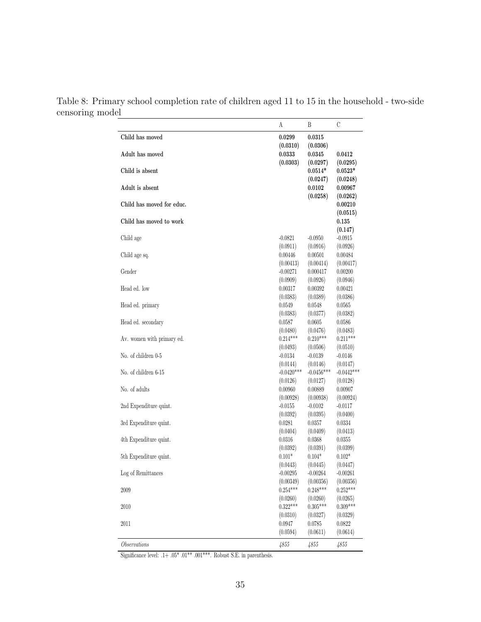Table 8: Primary school completion rate of children aged 11 to 15 in the household - two-side censoring model

|                            | А                        | Β                        | С                        |
|----------------------------|--------------------------|--------------------------|--------------------------|
| Child has moved            | 0.0299                   | 0.0315                   |                          |
|                            | (0.0310)                 | (0.0306)                 |                          |
| Adult has moved            | 0.0333                   | 0.0345                   | 0.0412                   |
|                            | (0.0303)                 | (0.0297)                 | (0.0295)                 |
| Child is absent            |                          | $0.0514*$                | $0.0523*$                |
|                            |                          | (0.0247)                 | (0.0248)                 |
| Adult is absent            |                          | 0.0102                   | 0.00967                  |
|                            |                          | (0.0258)                 | (0.0262)                 |
| Child has moved for educ.  |                          |                          | 0.00210                  |
|                            |                          |                          | (0.0515)                 |
| Child has moved to work    |                          |                          | 0.135                    |
|                            |                          |                          | (0.147)                  |
| Child age                  | $-0.0821$                | $-0.0950$                | $-0.0915$                |
|                            | (0.0911)                 | (0.0916)                 | (0.0926)                 |
| Child age sq.              | 0.00446                  | 0.00501                  | 0.00484                  |
|                            | (0.00413)                | (0.00414)                | (0.00417)                |
| Gender                     | $-0.00271$               | 0.000417                 | 0.00200                  |
|                            | (0.0909)                 | (0.0926)                 | (0.0946)                 |
| Head ed. low               | 0.00317                  | 0.00392                  | 0.00421                  |
|                            | (0.0383)                 | (0.0389)                 | (0.0386)                 |
| Head ed. primary           | 0.0549                   | 0.0548                   | 0.0565                   |
|                            | (0.0383)                 | (0.0377)                 | (0.0382)                 |
| Head ed. secondary         | 0.0587                   | 0.0605                   | 0.0586                   |
|                            | (0.0480)<br>$0.214***$   | (0.0476)                 | (0.0483)                 |
| Av. women with primary ed. |                          | $0.210***$               | $0.211***$               |
|                            | (0.0493)                 | (0.0506)                 | (0.0510)                 |
| No. of children 0-5        | $-0.0134$                | -0.0139                  | $-0.0146$                |
| No. of children 6-15       | (0.0144)<br>$-0.0420***$ | (0.0146)<br>$-0.0456***$ | (0.0147)<br>$-0.0442***$ |
|                            | (0.0126)                 | (0.0127)                 | (0.0128)                 |
| No. of adults              | 0.00960                  | 0.00889                  | 0.00907                  |
|                            | (0.00928)                | (0.00938)                | (0.00924)                |
| 2nd Expenditure quint.     | $-0.0155$                | $-0.0102$                | $-0.0117$                |
|                            | (0.0392)                 | (0.0395)                 | (0.0400)                 |
| 3rd Expenditure quint.     | 0.0281                   | 0.0357                   | 0.0334                   |
|                            | (0.0404)                 | (0.0409)                 | (0.0413)                 |
| 4th Expenditure quint.     | 0.0316                   | 0.0368                   | 0.0355                   |
|                            | (0.0392)                 | (0.0391)                 | (0.0399)                 |
| 5th Expenditure quint.     | $0.101*$                 | $0.104*$                 | $0.102*$                 |
|                            | (0.0443)                 | (0.0445)                 | (0.0447)                 |
| Log of Remittances         | $-0.00295$               | $-0.00264$               | $-0.00261$               |
|                            | (0.00349)                | (0.00356)                | (0.00356)                |
| 2009                       | $0.254***$               | $0.248***$               | $0.252***$               |
|                            | (0.0260)                 | (0.0260)                 | (0.0265)                 |
| 2010                       | $0.322***$               | $0.305***$               | $0.309***$               |
|                            | (0.0310)                 | (0.0327)                 | (0.0329)                 |
| 2011                       | 0.0947                   | 0.0785                   | 0.0822                   |
|                            | (0.0594)                 | (0.0611)                 | (0.0614)                 |
| Observations               | 4855                     | 4855                     | 4855                     |
|                            |                          |                          |                          |

Significance level: .1+ $.05^*$   $.01^{***}$   $.001^{***}$  . Robust S.E. in parenthesis.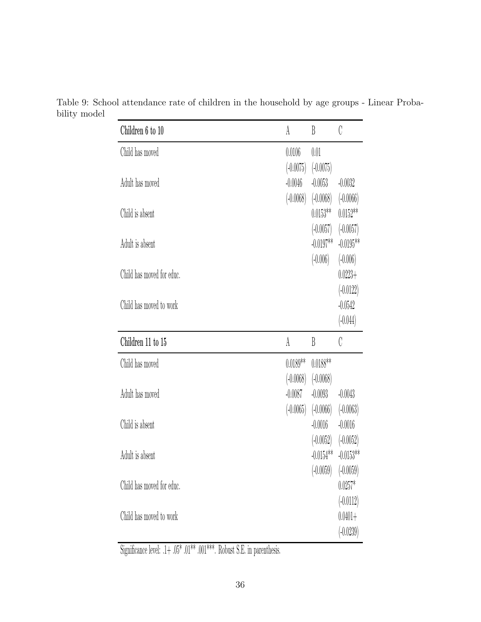| Children 6 to 10          | A                        | B                                    | C                                       |
|---------------------------|--------------------------|--------------------------------------|-----------------------------------------|
| Child has moved           | 0.0106<br>$(-0.0075)$    | 0.01<br>$(-0.0075)$                  |                                         |
| Adult has moved           | $-0.0046$<br>$(-0.0068)$ | $-0.0053$<br>$(-0.0068)$             | $-0.0032$<br>$(-0.0066)$                |
| Child is absent           |                          | $0.0153**$<br>$(-0.0057)$            | $0.0152**$<br>$(-0.0057)$               |
| Adult is absent           |                          | $-0.0197**$<br>$(-0.006)$            | $-0.0195**$<br>$(-0.006)$               |
| Child has moved for educ. |                          |                                      | $0.0223 +$<br>$(-0.0122)$               |
| Child has moved to work   |                          |                                      | $-0.0542$<br>$(-0.044)$                 |
|                           |                          |                                      |                                         |
| Children 11 to 15         | A                        | B                                    | C                                       |
| Child has moved           | $0.0189**$               | $0.0188**$                           |                                         |
| Adult has moved           | $(-0.0068)$<br>$-0.0087$ | $(-0.0068)$<br>$-0.0093$             | $-0.0043$                               |
| Child is absent           |                          | $(-0.0065)$ $(-0.0066)$<br>$-0.0016$ | $(-0.0063)$<br>$-0.0016$                |
| Adult is absent           |                          | $(-0.0052)$<br>$-0.0154**$           | $(-0.0052)$<br>$-0.0153**$              |
| Child has moved for educ. |                          | $(-0.0059)$                          | $(-0.0059)$<br>$0.0257*$<br>$(-0.0112)$ |

Table 9: School attendance rate of children in the household by age groups - Linear Probability model

Significance level:  $.1+$   $.05^{\ast}$   $.01^{\ast\ast\ast}.$  Robust S.E. in parenthesis.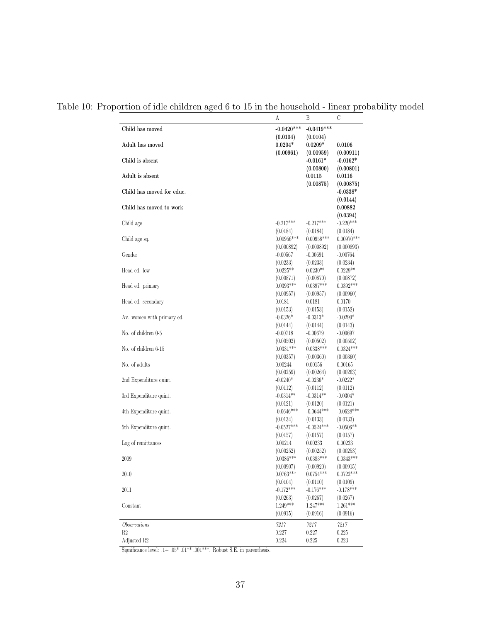Table 10: Proportion of idle children aged 6 to 15 in the household - linear probability model

|                            | А                        | Β                        | С                        |
|----------------------------|--------------------------|--------------------------|--------------------------|
| Child has moved            | $-0.0420***$             | $-0.0419***$             |                          |
|                            | (0.0104)                 | (0.0104)                 |                          |
| Adult has moved            | $0.0204*$                | $0.0209*$                | 0.0106                   |
|                            | (0.00961)                | (0.00959)                | (0.00911)                |
| Child is absent            |                          | $-0.0161*$               | $-0.0162*$               |
|                            |                          | (0.00800)                | (0.00801)                |
| Adult is absent            |                          | 0.0115<br>(0.00875)      | 0.0116<br>(0.00875)      |
| Child has moved for educ.  |                          |                          | $-0.0338*$               |
|                            |                          |                          | (0.0144)                 |
| Child has moved to work    |                          |                          | 0.00882                  |
|                            |                          |                          | (0.0394)                 |
| Child age                  | $-0.217***$              | $-0.217***$              | $-0.220***$              |
|                            | (0.0184)                 | (0.0184)                 | (0.0184)                 |
| Child age sq.              | $0.00956***$             | $0.00958***$             | $0.00970***$             |
|                            | (0.000892)               | (0.000892)               | (0.000893)               |
| Gender                     | $-0.00567$               | $-0.00691$               | $-0.00764$               |
|                            | (0.0233)                 | (0.0233)                 | (0.0234)                 |
| Head ed. low               | $0.0225**$               | $0.0230**$               | $0.0229**$               |
| Head ed. primary           | (0.00871)<br>$0.0393***$ | (0.00870)<br>$0.0397***$ | (0.00872)<br>$0.0392***$ |
|                            | (0.00957)                | (0.00957)                | (0.00960)                |
| Head ed. secondary         | 0.0181                   | 0.0181                   | 0.0170                   |
|                            | (0.0153)                 | (0.0153)                 | (0.0152)                 |
| Av. women with primary ed. | $-0.0326*$               | $-0.0313*$               | $-0.0290*$               |
|                            | (0.0144)                 | (0.0144)                 | (0.0143)                 |
| No. of children 0-5        | $-0.00718$               | $-0.00679$               | $-0.00697$               |
|                            | (0.00502)                | (0.00502)                | (0.00502)                |
| No. of children 6-15       | $0.0331***$              | $0.0338***$              | $0.0324***$              |
|                            | (0.00357)                | (0.00360)                | (0.00360)                |
| No. of adults              | 0.00244                  | 0.00156                  | 0.00165                  |
|                            | (0.00259)                | (0.00264)                | (0.00263)                |
| 2nd Expenditure quint.     | $-0.0240*$               | $-0.0236*$               | $-0.0222*$               |
| 3rd Expenditure quint.     | (0.0112)<br>$-0.0314**$  | (0.0112)<br>$-0.0314**$  | (0.0112)<br>$-0.0304*$   |
|                            | (0.0121)                 | (0.0120)                 | (0.0121)                 |
| 4th Expenditure quint.     | $-0.0646***$             | $-0.0644***$             | $-0.0628***$             |
|                            | (0.0134)                 | (0.0133)                 | (0.0133)                 |
| 5th Expenditure quint.     | $-0.0527***$             | $-0.0524***$             | $-0.0506**$              |
|                            | (0.0157)                 | (0.0157)                 | (0.0157)                 |
| Log of remittances         | 0.00214                  | 0.00233                  | 0.00233                  |
|                            | (0.00252)                | (0.00252)                | (0.00253)                |
| 2009                       | $0.0386***$              | $0.0383^{***}\,$         | $0.0343***$              |
|                            | (0.00907)                | (0.00920)                | (0.00915)                |
| 2010                       | $0.0763***$              | $0.0754***$              | $0.0722***$              |
|                            | (0.0104)                 | (0.0110)                 | (0.0109)                 |
| 2011                       | $-0.172***$              | $-0.176***$              | $-0.178***$              |
| Constant                   | (0.0263)<br>$1.249***$   | (0.0267)<br>$1.247***$   | (0.0267)<br>$1.261***$   |
|                            | (0.0915)                 | (0.0916)                 | (0.0916)                 |
|                            |                          |                          |                          |
| <i>Observations</i>        | 7217                     | 7217                     | 7217                     |
| R2                         | 0.227                    | 0.227                    | 0.225                    |
| Adjusted R2                | 0.224                    | $0.225\,$                | 0.223                    |

Significance level: .1+  $.05^*$   $.01^{**}$   $.001^{***}$  . Robust S.E. in parenthesis.